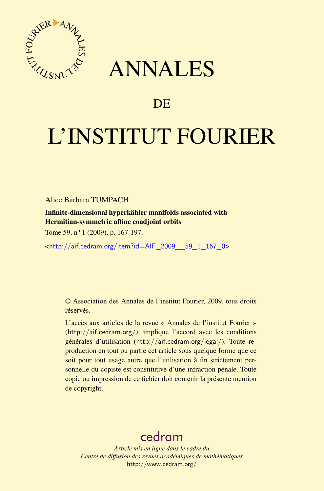

## ANNALES

## **DE**

# L'INSTITUT FOURIER

Alice Barbara TUMPACH

Infinite-dimensional hyperkähler manifolds associated with Hermitian-symmetric affine coadjoint orbits

Tome 59, n<sup>o</sup> 1 (2009), p. 167-197.

<[http://aif.cedram.org/item?id=AIF\\_2009\\_\\_59\\_1\\_167\\_0](http://aif.cedram.org/item?id=AIF_2009__59_1_167_0)>

© Association des Annales de l'institut Fourier, 2009, tous droits réservés.

L'accès aux articles de la revue « Annales de l'institut Fourier » (<http://aif.cedram.org/>), implique l'accord avec les conditions générales d'utilisation (<http://aif.cedram.org/legal/>). Toute reproduction en tout ou partie cet article sous quelque forme que ce soit pour tout usage autre que l'utilisation à fin strictement personnelle du copiste est constitutive d'une infraction pénale. Toute copie ou impression de ce fichier doit contenir la présente mention de copyright.

## [cedram](http://www.cedram.org/)

*Article mis en ligne dans le cadre du Centre de diffusion des revues académiques de mathématiques* <http://www.cedram.org/>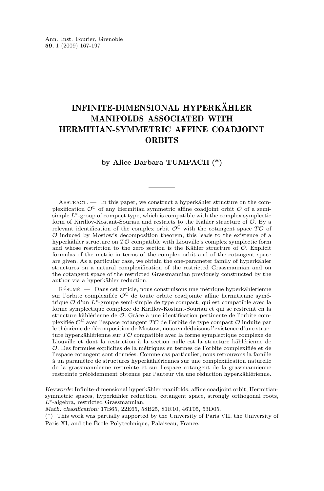### INFINITE-DIMENSIONAL HYPERKÄHLER MANIFOLDS ASSOCIATED WITH HERMITIAN-SYMMETRIC AFFINE COADJOINT **ORBITS**

#### **by Alice Barbara TUMPACH (\*)**

ABSTRACT. — In this paper, we construct a hyperkähler structure on the complexification  $\mathcal{O}^{\mathbb{C}}$  of any Hermitian symmetric affine coadjoint orbit  $\mathcal O$  of a semisimple  $L^*$ -group of compact type, which is compatible with the complex symplectic form of Kirillov-Kostant-Souriau and restricts to the Kähler structure of O. By a relevant identification of the complex orbit  $\mathcal{O}^{\mathbb{C}}$  with the cotangent space  $T\mathcal{O}$  of  $O$  induced by Mostow's decomposition theorem, this leads to the existence of a hyperkähler structure on  $T\mathcal{O}$  compatible with Liouville's complex symplectic form and whose restriction to the zero section is the Kähler structure of  $\mathcal{O}$ . Explicit formulas of the metric in terms of the complex orbit and of the cotangent space are given. As a particular case, we obtain the one-parameter family of hyperkähler structures on a natural complexification of the restricted Grassmannian and on the cotangent space of the restricted Grassmannian previously constructed by the author via a hyperkähler reduction.

Résumé. — Dans cet article, nous construisons une métrique hyperkählerienne sur l'orbite complexifiée  $\mathcal{O}^{\mathbb{C}}$  de toute orbite coadjointe affine hermitienne symétrique O d'un L∗-groupe semi-simple de type compact, qui est compatible avec la forme symplectique complexe de Kirillov-Kostant-Souriau et qui se restreint en la structure kählérienne de O. Grâce à une identification pertinente de l'orbite complexifiée  $\mathcal{O}^{\mathbb{C}}$  avec l'espace cotangent  $T\mathcal{O}$  de l'orbite de type compact  $\mathcal O$  induite par le théorème de décomposition de Mostow, nous en déduisons l'existence d'une structure hyperkählérienne sur  $T\mathcal{O}$  compatible avec la forme symplectique complexe de Liouville et dont la restriction à la section nulle est la structure kählérienne de O. Des formules explicites de la métriques en termes de l'orbite complexifiée et de l'espace cotangent sont données. Comme cas particulier, nous retrouvons la famille à un paramètre de structures hyperkählériennes sur une complexification naturelle de la grassmannienne restreinte et sur l'espace cotangent de la grassmannienne restreinte précédemment obtenue par l'auteur via une réduction hyperkählérienne.

*Keywords:* Infinite-dimensional hyperkähler manifolds, affine coadjoint orbit, Hermitiansymmetric spaces, hyperkähler reduction, cotangent space, strongly orthogonal roots, L∗-algebra, restricted Grassmannian.

*Math. classification:* 17B65, 22E65, 58B25, 81R10, 46T05, 53D05.

<sup>(\*)</sup> This work was partially supported by the University of Paris VII, the University of Paris XI, and the École Polytechnique, Palaiseau, France.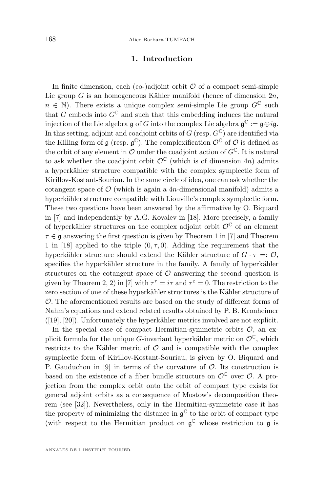#### **1. Introduction**

In finite dimension, each (co-)adjoint orbit  $\mathcal O$  of a compact semi-simple Lie group  $G$  is an homogeneous Kähler manifold (hence of dimension  $2n$ ,  $n \in \mathbb{N}$ . There exists a unique complex semi-simple Lie group  $G^{\mathbb{C}}$  such that G embeds into  $G^{\mathbb{C}}$  and such that this embedding induces the natural injection of the Lie algebra  $\mathfrak g$  of  $G$  into the complex Lie algebra  $\mathfrak g^\mathbb C:=\mathfrak g\oplus i\mathfrak g.$ In this setting, adjoint and coadjoint orbits of G (resp.  $G^{\mathbb{C}}$ ) are identified via the Killing form of  $\mathfrak g$  (resp.  $\mathfrak g^{\mathbb C}$ ). The complexification  $\mathcal O^{\mathbb C}$  of  $\mathcal O$  is defined as the orbit of any element in  $\mathcal O$  under the coadjoint action of  $G^{\mathbb C}$ . It is natural to ask whether the coadjoint orbit  $\mathcal{O}^{\mathbb{C}}$  (which is of dimension 4n) admits a hyperkähler structure compatible with the complex symplectic form of Kirillov-Kostant-Souriau. In the same circle of idea, one can ask whether the cotangent space of  $\mathcal{O}$  (which is again a 4n-dimensional manifold) admits a hyperkähler structure compatible with Liouville's complex symplectic form. These two questions have been answered by the affirmative by O. Biquard in [\[7\]](#page-30-0) and independently by A.G. Kovalev in [\[18\]](#page-30-0). More precisely, a family of hyperkähler structures on the complex adjoint orbit  $\mathcal{O}^{\mathbb{C}}$  of an element  $\tau \in \mathfrak{g}$  answering the first question is given by Theorem 1 in [\[7\]](#page-30-0) and Theorem 1 in [\[18\]](#page-30-0) applied to the triple  $(0, \tau, 0)$ . Adding the requirement that the hyperkähler structure should extend the Kähler structure of  $G \cdot \tau =: \mathcal{O}$ , specifies the hyperkähler structure in the family. A family of hyperkähler structures on the cotangent space of  $\mathcal O$  answering the second question is given by Theorem 2, 2) in [\[7\]](#page-30-0) with  $\tau^r = i\tau$  and  $\tau^c = 0$ . The restriction to the zero section of one of these hyperkähler structures is the Kähler structure of O. The aforementioned results are based on the study of different forms of Nahm's equations and extend related results obtained by P. B. Kronheimer ([\[19\]](#page-30-0), [\[20\]](#page-30-0)). Unfortunately the hyperkähler metrics involved are not explicit.

In the special case of compact Hermitian-symmetric orbits  $\mathcal{O}$ , an explicit formula for the unique G-invariant hyperkähler metric on  $\mathcal{O}^{\mathbb{C}}$ , which restricts to the Kähler metric of  $\mathcal O$  and is compatible with the complex symplectic form of Kirillov-Kostant-Souriau, is given by O. Biquard and P. Gauduchon in [\[9\]](#page-30-0) in terms of the curvature of  $\mathcal{O}$ . Its construction is based on the existence of a fiber bundle structure on  $\mathcal{O}^{\mathbb{C}}$  over  $\mathcal{O}$ . A projection from the complex orbit onto the orbit of compact type exists for general adjoint orbits as a consequence of Mostow's decomposition theorem (see [\[32\]](#page-31-0)). Nevertheless, only in the Hermitian-symmetric case it has the property of minimizing the distance in  $\mathfrak{g}^{\mathbb{C}}$  to the orbit of compact type (with respect to the Hermitian product on  $\mathfrak{g}^{\mathbb{C}}$  whose restriction to  $\mathfrak{g}$  is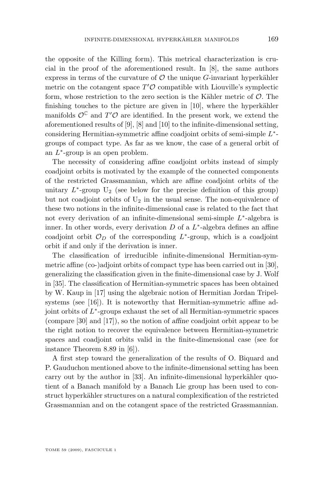the opposite of the Killing form). This metrical characterization is crucial in the proof of the aforementioned result. In [\[8\]](#page-30-0), the same authors express in terms of the curvature of  $\mathcal O$  the unique  $G$ -invariant hyperkähler metric on the cotangent space  $T' \mathcal{O}$  compatible with Liouville's symplectic form, whose restriction to the zero section is the Kähler metric of  $\mathcal{O}$ . The finishing touches to the picture are given in [\[10\]](#page-30-0), where the hyperkähler manifolds  $\mathcal{O}^{\mathbb{C}}$  and  $T' \mathcal{O}$  are identified. In the present work, we extend the aforementioned results of [\[9\]](#page-30-0), [\[8\]](#page-30-0) and [\[10\]](#page-30-0) to the infinite-dimensional setting, considering Hermitian-symmetric affine coadjoint orbits of semi-simple  $L^*$ groups of compact type. As far as we know, the case of a general orbit of an  $L^*$ -group is an open problem.

The necessity of considering *affine* coadjoint orbits instead of simply coadjoint orbits is motivated by the example of the connected components of the restricted Grassmannian, which are affine coadjoint orbits of the unitary  $L^*$ -group  $U_2$  (see below for the precise definition of this group) but not coadjoint orbits of  $U_2$  in the usual sense. The non-equivalence of these two notions in the infinite-dimensional case is related to the fact that not every derivation of an infinite-dimensional semi-simple  $L^*$ -algebra is inner. In other words, every derivation  $D$  of a  $L^*$ -algebra defines an affine coadjoint orbit  $\mathcal{O}_D$  of the corresponding  $L^*$ -group, which is a coadjoint orbit if and only if the derivation is inner.

The classification of irreducible infinite-dimensional Hermitian-symmetric affine (co-)adjoint orbits of compact type has been carried out in [\[30\]](#page-31-0), generalizing the classification given in the finite-dimensional case by J. Wolf in [\[35\]](#page-31-0). The classification of Hermitian-symmetric spaces has been obtained by W. Kaup in [\[17\]](#page-30-0) using the algebraic notion of Hermitian Jordan Tripel-systems (see [\[16\]](#page-30-0)). It is noteworthy that Hermitian-symmetric affine adjoint orbits of L ∗ -groups exhaust the set of all Hermitian-symmetric spaces (compare [\[30\]](#page-31-0) and [\[17\]](#page-30-0)), so the notion of *affine* coadjoint orbit appear to be the right notion to recover the equivalence between Hermitian-symmetric spaces and coadjoint orbits valid in the finite-dimensional case (see for instance Theorem 8.89 in [\[6\]](#page-30-0)).

A first step toward the generalization of the results of O. Biquard and P. Gauduchon mentioned above to the infinite-dimensional setting has been carry out by the author in [\[33\]](#page-31-0). An infinite-dimensional hyperkähler quotient of a Banach manifold by a Banach Lie group has been used to construct hyperkähler structures on a natural complexification of the restricted Grassmannian and on the cotangent space of the restricted Grassmannian.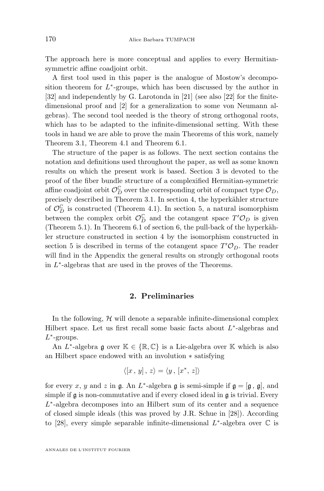The approach here is more conceptual and applies to every Hermitiansymmetric affine coadjoint orbit.

A first tool used in this paper is the analogue of Mostow's decomposition theorem for  $L^*$ -groups, which has been discussed by the author in [\[32\]](#page-31-0) and independently by G. Larotonda in [\[21\]](#page-30-0) (see also [\[22\]](#page-30-0) for the finitedimensional proof and [\[2\]](#page-29-0) for a generalization to some von Neumann algebras). The second tool needed is the theory of strong orthogonal roots, which has to be adapted to the infinite-dimensional setting. With these tools in hand we are able to prove the main Theorems of this work, namely Theorem [3.1,](#page-8-0) Theorem [4.1](#page-14-0) and Theorem [6.1.](#page-19-0)

The structure of the paper is as follows. The next section contains the notation and definitions used throughout the paper, as well as some known results on which the present work is based. Section [3](#page-7-0) is devoted to the proof of the fiber bundle structure of a complexified Hermitian-symmetric affine coadjoint orbit  $\mathcal{O}_D^{\mathbb{C}}$  over the corresponding orbit of compact type  $\mathcal{O}_D$ , precisely described in Theorem [3.1.](#page-8-0) In section [4,](#page-14-0) the hyperkähler structure of  $\mathcal{O}_D^{\mathbb{C}}$  is constructed (Theorem [4.1\)](#page-14-0). In section [5,](#page-16-0) a natural isomorphism between the complex orbit  $\mathcal{O}_D^{\mathbb{C}}$  and the cotangent space  $T' \mathcal{O}_D$  is given (Theorem [5.1\)](#page-16-0). In Theorem [6.1](#page-19-0) of section [6,](#page-18-0) the pull-back of the hyperkähler structure constructed in section [4](#page-14-0) by the isomorphism constructed in section [5](#page-16-0) is described in terms of the cotangent space  $T' \mathcal{O}_D$ . The reader will find in the Appendix the general results on strongly orthogonal roots in  $L^*$ -algebras that are used in the proves of the Theorems.

#### **2. Preliminaries**

In the following,  $H$  will denote a separable infinite-dimensional complex Hilbert space. Let us first recall some basic facts about  $L^*$ -algebras and  $L^*$ -groups.

An  $L^*$ -algebra  $\mathfrak g$  over  $\mathbb K \in \{\mathbb R,\mathbb C\}$  is a Lie-algebra over  $\mathbb K$  which is also an Hilbert space endowed with an involution ∗ satisfying

$$
\langle [x, y], z \rangle = \langle y, [x^*, z] \rangle
$$

for every x, y and z in  $\mathfrak g$ . An  $L^*$ -algebra  $\mathfrak g$  is semi-simple if  $\mathfrak g = [\mathfrak g, \mathfrak g]$ , and simple if  $\mathfrak g$  is non-commutative and if every closed ideal in  $\mathfrak g$  is trivial. Every L<sup>\*</sup>-algebra decomposes into an Hilbert sum of its center and a sequence of closed simple ideals (this was proved by J.R. Schue in [\[28\]](#page-31-0)). According to [\[28\]](#page-31-0), every simple separable infinite-dimensional  $L^*$ -algebra over  $\mathbb C$  is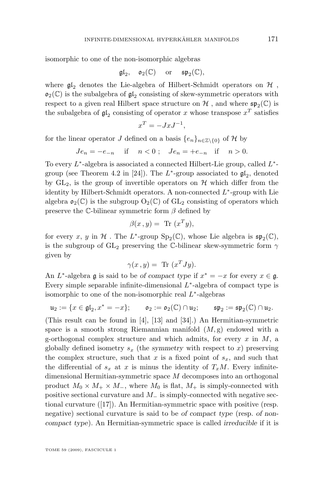isomorphic to one of the non-isomorphic algebras

$$
\mathfrak{gl}_2,\quad\mathfrak{o}_2(\mathbb{C})\quad\text{ or }\quad\mathfrak{sp}_2(\mathbb{C}),
$$

where  $\mathfrak{gl}_2$  denotes the Lie-algebra of Hilbert-Schmidt operators on  $\mathcal H$ ,  $\mathfrak{o}_2(\mathbb{C})$  is the subalgebra of  $\mathfrak{gl}_2$  consisting of skew-symmetric operators with respect to a given real Hilbert space structure on  $\mathcal H$  , and where  $\mathfrak{sp}_2(\mathbb C)$  is the subalgebra of  $\mathfrak{gl}_2$  consisting of operator x whose transpose  $x^T$  satisfies

$$
x^T = -JxJ^{-1},
$$

for the linear operator J defined on a basis  $\{e_n\}_{n\in\mathbb{Z}\setminus\{0\}}$  of H by

$$
Je_n = -e_{-n} \quad \text{if} \quad n < 0 \; ; \quad Je_n = +e_{-n} \quad \text{if} \quad n > 0.
$$

To every  $L^*$ -algebra is associated a connected Hilbert-Lie group, called  $L^*$ -group (see Theorem 4.2 in [\[24\]](#page-30-0)). The  $L^*$ -group associated to  $\mathfrak{gl}_2$ , denoted by  $GL_2$ , is the group of invertible operators on  $\mathcal H$  which differ from the identity by Hilbert-Schmidt operators. A non-connected  $L^*$ -group with Lie algebra  $\mathfrak{o}_2(\mathbb{C})$  is the subgroup  $O_2(\mathbb{C})$  of  $GL_2$  consisting of operators which preserve the C-bilinear symmetric form  $\beta$  defined by

$$
\beta(x,y) = \text{Tr}(x^T y),
$$

for every x, y in H. The  $L^*$ -group  $Sp_2(\mathbb{C})$ , whose Lie algebra is  $\mathfrak{sp}_2(\mathbb{C})$ , is the subgroup of  $GL_2$  preserving the C-bilinear skew-symmetric form  $\gamma$ given by

$$
\gamma(x, y) = \text{Tr}(x^T J y).
$$

An  $L^*$ -algebra  $\mathfrak g$  is said to be *of compact type* if  $x^* = -x$  for every  $x \in \mathfrak g$ . Every simple separable infinite-dimensional  $L^*$ -algebra of compact type is isomorphic to one of the non-isomorphic real  $L^*$ -algebras

$$
\mathfrak{u}_2:=\{x\in\mathfrak{gl}_2, x^*=-x\};\qquad \mathfrak{o}_2:=\mathfrak{o}_2(\mathbb{C})\cap\mathfrak{u}_2;\qquad \mathfrak{sp}_2:=\mathfrak{sp}_2(\mathbb{C})\cap\mathfrak{u}_2.
$$

(This result can be found in [\[4\]](#page-30-0), [\[13\]](#page-30-0) and [\[34\]](#page-31-0).) An Hermitian-symmetric space is a smooth strong Riemannian manifold  $(M, g)$  endowed with a g-orthogonal complex structure and which admits, for every  $x$  in  $M$ , a globally defined isometry  $s_x$  (the *symmetry* with respect to x) preserving the complex structure, such that x is a fixed point of  $s_x$ , and such that the differential of  $s_x$  at x is minus the identity of  $T_xM$ . Every infinitedimensional Hermitian-symmetric space M decomposes into an orthogonal product  $M_0 \times M_+ \times M_-$ , where  $M_0$  is flat,  $M_+$  is simply-connected with positive sectional curvature and  $M_-\$  is simply-connected with negative sectional curvature ([\[17\]](#page-30-0)). An Hermitian-symmetric space with positive (resp. negative) sectional curvature is said to be *of compact type* (resp. *of noncompact type*). An Hermitian-symmetric space is called *irreducible* if it is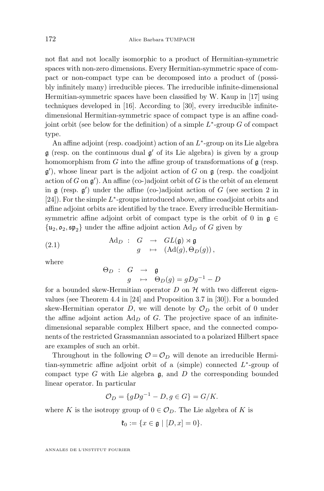not flat and not locally isomorphic to a product of Hermitian-symmetric spaces with non-zero dimensions. Every Hermitian-symmetric space of compact or non-compact type can be decomposed into a product of (possibly infinitely many) irreducible pieces. The irreducible infinite-dimensional Hermitian-symmetric spaces have been classified by W. Kaup in [\[17\]](#page-30-0) using techniques developed in [\[16\]](#page-30-0). According to [\[30\]](#page-31-0), every irreducible infinitedimensional Hermitian-symmetric space of compact type is an affine coadjoint orbit (see below for the definition) of a simple  $L^*$ -group G of compact type.

An affine adjoint (resp. coadjoint) action of an  $L^*$ -group on its Lie algebra  $\mathfrak g$  (resp. on the continuous dual  $\mathfrak g'$  of its Lie algebra) is given by a group homomorphism from  $G$  into the affine group of transformations of  $\mathfrak g$  (resp.  $g'$ ), whose linear part is the adjoint action of G on  $g$  (resp. the coadjoint action of G on  $\mathfrak{g}'$ ). An affine (co-)adjoint orbit of G is the orbit of an element in  $\mathfrak g$  (resp.  $\mathfrak g'$ ) under the affine (co-)adjoint action of G (see section 2 in [\[24\]](#page-30-0)). For the simple  $L^*$ -groups introduced above, affine coadjoint orbits and affine adjoint orbits are identified by the trace. Every irreducible Hermitiansymmetric affine adjoint orbit of compact type is the orbit of 0 in  $\mathfrak{g} \in$  $\{u_2, o_2, \mathfrak{sp}_2\}$  under the affine adjoint action  $Ad_D$  of G given by

(2.1) 
$$
\operatorname{Ad}_D : G \to GL(\mathfrak{g}) \rtimes \mathfrak{g}
$$

$$
g \mapsto (\operatorname{Ad}(g), \Theta_D(g)),
$$

where

 $\Theta_D$  :  $G$   $\;\rightarrow$  g  $g \rightarrow \Theta_D(g) = gDg^{-1} - D$ 

for a bounded skew-Hermitian operator  $D$  on  $H$  with two different eigenvalues (see Theorem 4.4 in [\[24\]](#page-30-0) and Proposition 3.7 in [\[30\]](#page-31-0)). For a bounded skew-Hermitian operator D, we will denote by  $\mathcal{O}_D$  the orbit of 0 under the affine adjoint action  $Ad<sub>D</sub>$  of G. The projective space of an infinitedimensional separable complex Hilbert space, and the connected components of the restricted Grassmannian associated to a polarized Hilbert space are examples of such an orbit.

Throughout in the following  $\mathcal{O} = \mathcal{O}_D$  will denote an irreducible Hermitian-symmetric affine adjoint orbit of a (simple) connected  $L^*$ -group of compact type G with Lie algebra  $\mathfrak{g}$ , and D the corresponding bounded linear operator. In particular

$$
\mathcal{O}_D = \{gDg^{-1} - D, g \in G\} = G/K.
$$

where K is the isotropy group of  $0 \in \mathcal{O}_D$ . The Lie algebra of K is

$$
\mathfrak{k}_0 := \{ x \in \mathfrak{g} \mid [D, x] = 0 \}.
$$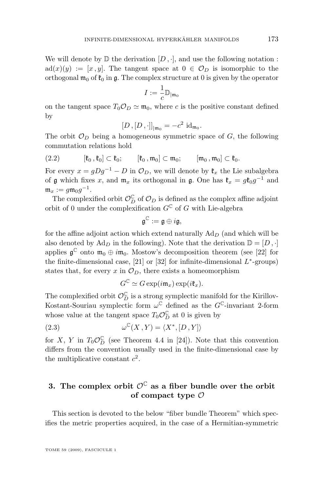<span id="page-7-0"></span>We will denote by  $\mathbb D$  the derivation  $[D, \cdot]$ , and use the following notation :  $ad(x)(y) := [x, y]$ . The tangent space at  $0 \in \mathcal{O}_D$  is isomorphic to the orthogonal  $\mathfrak{m}_0$  of  $\mathfrak{k}_0$  in g. The complex structure at 0 is given by the operator

$$
I:=\frac{1}{c}\mathbb{D}_{|\mathfrak{m}_0}
$$

on the tangent space  $T_0 \mathcal{O}_D \simeq \mathfrak{m}_0$ , where c is the positive constant defined by

$$
[D,[D,\cdot]]_{|\mathfrak{m}_0}=-c^2\,\mathrm{id}_{\mathfrak{m}_0}.
$$

The orbit  $\mathcal{O}_D$  being a homogeneous symmetric space of G, the following commutation relations hold

$$
(2.2) \qquad [\mathfrak{k}_0, \mathfrak{k}_0] \subset \mathfrak{k}_0; \qquad [\mathfrak{k}_0, \mathfrak{m}_0] \subset \mathfrak{m}_0; \qquad [\mathfrak{m}_0, \mathfrak{m}_0] \subset \mathfrak{k}_0.
$$

For every  $x = gDg^{-1} - D$  in  $\mathcal{O}_D$ , we will denote by  $\mathfrak{k}_x$  the Lie subalgebra of  $\mathfrak g$  which fixes x, and  $\mathfrak m_x$  its orthogonal in  $\mathfrak g$ . One has  $\mathfrak k_x = g\mathfrak k_0g^{-1}$  and  $\mathfrak{m}_x := g \mathfrak{m}_0 g^{-1}.$ 

The complexified orbit  $\mathcal{O}_D^{\mathbb{C}}$  of  $\mathcal{O}_D$  is defined as the complex affine adjoint orbit of 0 under the complexification  $G^{\mathbb{C}}$  of G with Lie-algebra

$$
\mathfrak{g}^{\mathbb{C}}:=\mathfrak{g}\oplus i\mathfrak{g},
$$

for the affine adjoint action which extend naturally  $Ad<sub>D</sub>$  (and which will be also denoted by  $\text{Ad}_D$  in the following). Note that the derivation  $\mathbb{D} = [D, \cdot]$ applies  $\mathfrak{g}^{\mathbb{C}}$  onto  $\mathfrak{m}_0 \oplus i\mathfrak{m}_0$ . Mostow's decomposition theorem (see [\[22\]](#page-30-0) for the finite-dimensional case,  $[21]$  or  $[32]$  for infinite-dimensional  $L^*$ -groups) states that, for every x in  $\mathcal{O}_D$ , there exists a homeomorphism

$$
G^{\mathbb{C}} \simeq G \exp(i\mathfrak{m}_x) \exp(i\mathfrak{k}_x).
$$

The complexified orbit  $\mathcal{O}_D^{\mathbb{C}}$  is a strong symplectic manifold for the Kirillov-Kostant-Souriau symplectic form  $\omega^{\mathbb{C}}$  defined as the  $G^{\mathbb{C}}$ -invariant 2-form whose value at the tangent space  $T_0 \mathcal{O}_D^{\mathbb{C}}$  at 0 is given by

(2.3) 
$$
\omega^{\mathbb{C}}(X, Y) = \langle X^*, [D, Y] \rangle
$$

for X, Y in  $T_0 \mathcal{O}_D^{\mathbb{C}}$  (see Theorem 4.4 in [\[24\]](#page-30-0)). Note that this convention differs from the convention usually used in the finite-dimensional case by the multiplicative constant  $c^2$ .

#### **3.** The complex orbit  $\mathcal{O}^{\mathbb{C}}$  as a fiber bundle over the orbit **of compact type** O

This section is devoted to the below "fiber bundle Theorem" which specifies the metric properties acquired, in the case of a Hermitian-symmetric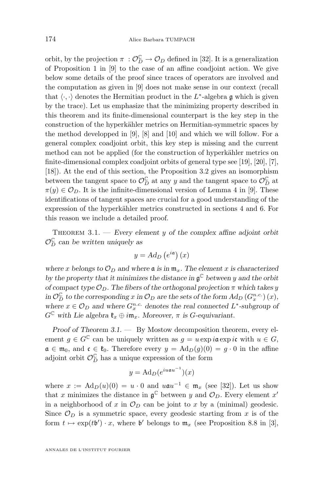<span id="page-8-0"></span>orbit, by the projection  $\pi$ :  $\mathcal{O}_D^{\mathbb{C}} \to \mathcal{O}_D$  defined in [\[32\]](#page-31-0). It is a generalization of Proposition 1 in [\[9\]](#page-30-0) to the case of an affine coadjoint action. We give below some details of the proof since traces of operators are involved and the computation as given in [\[9\]](#page-30-0) does not make sense in our context (recall that  $\langle \cdot, \cdot \rangle$  denotes the Hermitian product in the L<sup>\*</sup>-algebra g which is given by the trace). Let us emphasize that the minimizing property described in this theorem and its finite-dimensional counterpart is the key step in the construction of the hyperkähler metrics on Hermitian-symmetric spaces by the method developped in [\[9\]](#page-30-0), [\[8\]](#page-30-0) and [\[10\]](#page-30-0) and which we will follow. For a general complex coadjoint orbit, this key step is missing and the current method can not be applied (for the construction of hyperkähler metrics on finite-dimensional complex coadjoint orbits of general type see [\[19\]](#page-30-0), [\[20\]](#page-30-0), [\[7\]](#page-30-0), [\[18\]](#page-30-0)). At the end of this section, the Proposition [3.2](#page-12-0) gives an isomorphism between the tangent space to  $\mathcal{O}_D^{\mathbb{C}}$  at any y and the tangent space to  $\mathcal{O}_D^{\mathbb{C}}$  at  $\pi(y) \in \mathcal{O}_D$ . It is the infinite-dimensional version of Lemma 4 in [\[9\]](#page-30-0). These identifications of tangent spaces are crucial for a good understanding of the expression of the hyperkähler metrics constructed in sections [4](#page-14-0) and [6.](#page-18-0) For this reason we include a detailed proof.

THEOREM 3.1. — *Every element* y of the complex affine adjoint orbit  $\mathcal{O}_D^{\mathbb{C}}$  can be written uniquely as

$$
y = Ad_D\left(e^{i\mathfrak{a}}\right)(x)
$$

*where* x *belongs* to  $\mathcal{O}_D$  and where **a** *is in*  $\mathfrak{m}_x$ . The element x *is characterized by the property that it minimizes the distance in* g <sup>C</sup> *between* y *and the orbit of compact type*  $\mathcal{O}_D$ . The fibers of the orthogonal projection  $\pi$  which takes y  $\int_D \text{D}^C$  *to the corresponding* x in  $\mathcal{O}_D$  are the sets of the form  $\text{Ad}_D(G_x^{n.c.}) (x)$ , where  $x \in \mathcal{O}_D$  and where  $G_x^{n.c.}$  denotes the real connected  $L^*$ -subgroup of  $G^{\mathbb{C}}$  with Lie algebra  $\mathfrak{k}_x \oplus i\mathfrak{m}_x$ . Moreover,  $\pi$  is G-equivariant.

*Proof of Theorem 3.1. —* By Mostow decomposition theorem, every element  $g \in G^{\mathbb{C}}$  can be uniquely written as  $g = u \exp i\mathfrak{a} \exp i\mathfrak{c}$  with  $u \in G$ ,  $a \in \mathfrak{m}_0$ , and  $\mathfrak{c} \in \mathfrak{k}_0$ . Therefore every  $y = \text{Ad}_D(g)(0) = g \cdot 0$  in the affine adjoint orbit  $\mathcal{O}_D^{\mathbb{C}}$  has a unique expression of the form

$$
y = \mathrm{Ad}_D(e^{i u \mathfrak{a} u^{-1}})(x)
$$

where  $x := \text{Ad}_D(u)(0) = u \cdot 0$  and  $u \mathfrak{a} u^{-1} \in \mathfrak{m}_x$  (see [\[32\]](#page-31-0)). Let us show that x minimizes the distance in  $\mathfrak{g}^{\mathbb{C}}$  between y and  $\mathcal{O}_D$ . Every element x' in a neighborhood of x in  $\mathcal{O}_D$  can be joint to x by a (minimal) geodesic. Since  $\mathcal{O}_D$  is a symmetric space, every geodesic starting from x is of the form  $t \mapsto \exp(t\mathfrak{b}') \cdot x$ , where  $\mathfrak{b}'$  belongs to  $\mathfrak{m}_x$  (see Proposition 8.8 in [\[3\]](#page-29-0),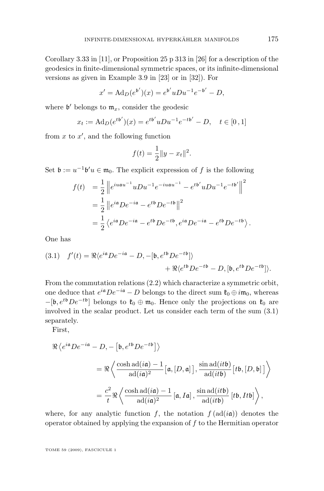<span id="page-9-0"></span>Corollary 3.33 in [\[11\]](#page-30-0), or Proposition 25 p 313 in [\[26\]](#page-30-0) for a description of the geodesics in finite-dimensional symmetric spaces, or its infinite-dimensional versions as given in Example 3.9 in [\[23\]](#page-30-0) or in [\[32\]](#page-31-0)). For

$$
x' = \mathrm{Ad}_D(e^{\mathfrak{b}'})(x) = e^{\mathfrak{b}'} u Du^{-1} e^{-\mathfrak{b}'} - D,
$$

where  $\mathfrak{b}'$  belongs to  $\mathfrak{m}_x$ , consider the geodesic

$$
x_t := \mathrm{Ad}_D(e^{t\mathfrak{b}'})(x) = e^{t\mathfrak{b}'} u Du^{-1} e^{-t\mathfrak{b}'} - D, \quad t \in [0, 1]
$$

from  $x$  to  $x'$ , and the following function

$$
f(t) = \frac{1}{2} ||y - x_t||^2.
$$

Set  $\mathfrak{b} := u^{-1} \mathfrak{b}' u \in \mathfrak{m}_0$ . The explicit expression of f is the following

$$
f(t) = \frac{1}{2} \left\| e^{i u a u^{-1}} u D u^{-1} e^{-i u a u^{-1}} - e^{t b'} u D u^{-1} e^{-t b'} \right\|^2
$$
  
= 
$$
\frac{1}{2} \left\| e^{i a} D e^{-i a} - e^{t b} D e^{-t b} \right\|^2
$$
  
= 
$$
\frac{1}{2} \left\langle e^{i a} D e^{-i a} - e^{t b} D e^{-t b}, e^{i a} D e^{-i a} - e^{t b} D e^{-t b} \right\rangle.
$$

One has

(3.1) 
$$
f'(t) = \Re \langle e^{i\mathfrak{a}} D e^{-i\mathfrak{a}} - D, -[\mathfrak{b}, e^{t\mathfrak{b}} D e^{-t\mathfrak{b}}] \rangle + \Re \langle e^{t\mathfrak{b}} D e^{-t\mathfrak{b}} - D, [\mathfrak{b}, e^{t\mathfrak{b}} D e^{-t\mathfrak{b}}] \rangle.
$$

From the commutation relations [\(2.2\)](#page-7-0) which characterize a symmetric orbit, one deduce that  $e^{i\mathfrak{a}}De^{-i\mathfrak{a}} - D$  belongs to the direct sum  $\mathfrak{k}_0 \oplus i\mathfrak{m}_0$ , whereas  $-[{\mathfrak b},e^{t{\mathfrak b}}De^{-t{\mathfrak b}}]$  belongs to  ${\mathfrak k}_0\oplus{\mathfrak m}_0$ . Hence only the projections on  ${\mathfrak k}_0$  are involved in the scalar product. Let us consider each term of the sum (3.1) separately.

First,

$$
\Re \langle e^{i\mathfrak{a}} De^{-i\mathfrak{a}} - D, -[\mathfrak{b}, e^{t\mathfrak{b}} De^{-t\mathfrak{b}}] \rangle
$$
  
=  $\Re \langle \frac{\cosh \text{ad}(i\mathfrak{a}) - 1}{\text{ad}(i\mathfrak{a})^2} [\mathfrak{a}, [D, \mathfrak{a}]] , \frac{\sin \text{ad}(it\mathfrak{b})}{\text{ad}(it\mathfrak{b})} [t\mathfrak{b}, [D, \mathfrak{b}]] \rangle$   
=  $\frac{c^2}{t} \Re \langle \frac{\cosh \text{ad}(i\mathfrak{a}) - 1}{\text{ad}(i\mathfrak{a})^2} [\mathfrak{a}, I\mathfrak{a}], \frac{\sin \text{ad}(it\mathfrak{b})}{\text{ad}(it\mathfrak{b})} [t\mathfrak{b}, It\mathfrak{b}] \rangle$ ,

where, for any analytic function f, the notation  $f(\text{ad}(i\mathfrak{a}))$  denotes the operator obtained by applying the expansion of  $f$  to the Hermitian operator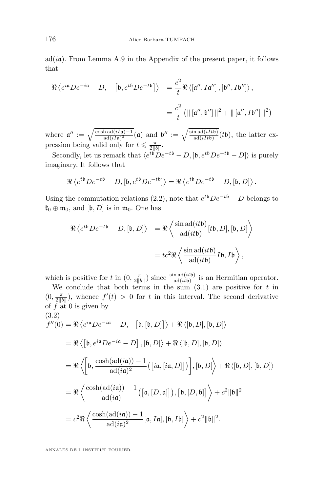<span id="page-10-0"></span> $ad(i\mathfrak{a})$ . From Lemma [A.9](#page-28-0) in the Appendix of the present paper, it follows that

$$
\Re \left\langle e^{i\mathfrak{a}}De^{-i\mathfrak{a}} - D, -\left[\mathfrak{b}, e^{t\mathfrak{b}}De^{-t\mathfrak{b}}\right] \right\rangle = \frac{c^2}{t} \Re \left\langle \left[\mathfrak{a}'', I\mathfrak{a}''\right], \left[\mathfrak{b}'', I\mathfrak{b}''\right] \right\rangle,
$$
  

$$
= \frac{c^2}{t} \left( \|\left[\mathfrak{a}'', \mathfrak{b}''\right]\|^2 + \|\left[\mathfrak{a}'', I\mathfrak{b}''\right]\|^2 \right)
$$

where  $\mathfrak{a}'' := \sqrt{\frac{\cosh \operatorname{ad}(iI\mathfrak{a})-1}{\operatorname{ad}(iI\mathfrak{a})^2}}(\mathfrak{a})$  and  $\mathfrak{b}'' := \sqrt{\frac{\sin \operatorname{ad}(iIt\mathfrak{b})}{\operatorname{ad}(iIt\mathfrak{b})}}(t\mathfrak{b})$ , the latter expression being valid only for  $t \leq \frac{\pi}{2||b||}$ .

Secondly, let us remark that  $\langle e^{t\mathfrak{b}}De^{-t\mathfrak{b}}-D, [\mathfrak{b}, e^{t\mathfrak{b}}De^{-t\mathfrak{b}}-D] \rangle$  is purely imaginary. It follows that

$$
\Re \left\langle e^{t\mathfrak{b}} D e^{-t\mathfrak{b}} - D, [\mathfrak{b}, e^{t\mathfrak{b}} D e^{-t\mathfrak{b}}] \right\rangle = \Re \left\langle e^{t\mathfrak{b}} D e^{-t\mathfrak{b}} - D, [\mathfrak{b}, D] \right\rangle.
$$

Using the commutation relations [\(2.2\)](#page-7-0), note that  $e^{t\phi}De^{-t\phi} - D$  belongs to  $\mathfrak{k}_0 \oplus \mathfrak{m}_0$ , and  $[\mathfrak{b}, D]$  is in  $\mathfrak{m}_0$ . One has

$$
\Re \langle e^{t\mathfrak{b}}De^{-t\mathfrak{b}} - D, [\mathfrak{b}, D] \rangle = \Re \langle \frac{\sin \mathrm{ad}(it\mathfrak{b})}{\mathrm{ad}(it\mathfrak{b})} [t\mathfrak{b}, D], [\mathfrak{b}, D] \rangle
$$

$$
= tc^2 \Re \langle \frac{\sin \mathrm{ad}(it\mathfrak{b})}{\mathrm{ad}(it\mathfrak{b})} Ib, Ib \rangle,
$$

which is positive for t in  $(0, \frac{\pi}{2||b||})$  since  $\frac{\sin \operatorname{ad}(itb)}{\operatorname{ad}(itb)}$  is an Hermitian operator.

We conclude that both terms in the sum  $(3.1)$  are positive for t in  $(0, \frac{\pi}{2\|b\|})$ , whence  $f'(t) > 0$  for t in this interval. The second derivative of  $f$  at 0 is given by  $(2.2)$ 

$$
f''(0) = \Re \langle e^{i\mathfrak{a}}De^{-i\mathfrak{a}} - D, -[\mathfrak{b}, [\mathfrak{b}, D]] \rangle + \Re \langle [\mathfrak{b}, D], [\mathfrak{b}, D] \rangle
$$
  
\n
$$
= \Re \langle [\mathfrak{b}, e^{i\mathfrak{a}}De^{-i\mathfrak{a}} - D], [\mathfrak{b}, D] \rangle + \Re \langle [\mathfrak{b}, D], [\mathfrak{b}, D] \rangle
$$
  
\n
$$
= \Re \langle [\mathfrak{b}, \frac{\cosh(\mathrm{ad}(i\mathfrak{a})) - 1}{\mathrm{ad}(i\mathfrak{a})^2} ([i\mathfrak{a}, [i\mathfrak{a}, D]])], [\mathfrak{b}, D] \rangle + \Re \langle [\mathfrak{b}, D], [\mathfrak{b}, D] \rangle
$$
  
\n
$$
= \Re \langle \frac{\cosh(\mathrm{ad}(i\mathfrak{a})) - 1}{\mathrm{ad}(i\mathfrak{a})} ([\mathfrak{a}, [D, \mathfrak{a}]]), [\mathfrak{b}, [D, \mathfrak{b}]] \rangle + c^2 \|\mathfrak{b}\|^2
$$
  
\n
$$
= c^2 \Re \langle \frac{\cosh(\mathrm{ad}(i\mathfrak{a})) - 1}{\mathrm{ad}(i\mathfrak{a})^2} [\mathfrak{a}, I\mathfrak{a}], [\mathfrak{b}, I\mathfrak{b}] \rangle + c^2 \|\mathfrak{b}\|^2.
$$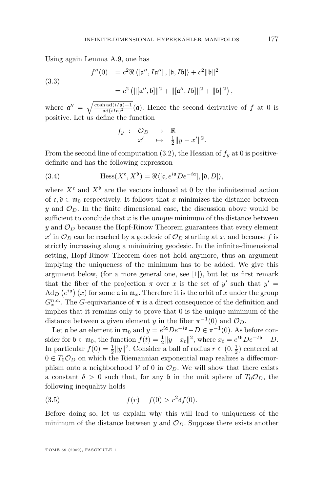<span id="page-11-0"></span>Using again Lemma [A.9,](#page-28-0) one has

(3.3)

$$
f''(0) = c^2 \Re \langle [\mathbf{a}'', I\mathbf{a}''], [\mathbf{b}, I\mathbf{b}] \rangle + c^2 \|\mathbf{b}\|^2
$$
  
=  $c^2 (\|[\mathbf{a}'', \mathbf{b}]\|^2 + \|[\mathbf{a}'', I\mathbf{b}]\|^2 + \|\mathbf{b}\|^2)$ ,

where  $\mathfrak{a}'' = \sqrt{\frac{\cosh \operatorname{ad}(iI\mathfrak{a})-1}{\operatorname{ad}(iI\mathfrak{a})^2}}(\mathfrak{a})$ . Hence the second derivative of f at 0 is positive. Let us define the function

$$
f_y : \begin{array}{rcl} \mathcal{O}_D & \to & \mathbb{R} \\ x' & \mapsto & \frac{1}{2} \|y - x'\|^2. \end{array}
$$

From the second line of computation  $(3.2)$ , the Hessian of  $f_y$  at 0 is positivedefinite and has the following expression

(3.4) 
$$
\text{Hess}(X^{\mathfrak{c}}, X^{\mathfrak{d}}) = \Re \langle [\mathfrak{c}, e^{i\mathfrak{a}} D e^{-i\mathfrak{a}}], [\mathfrak{d}, D] \rangle,
$$

where  $X^c$  and  $X^{\mathfrak{d}}$  are the vectors induced at 0 by the infinitesimal action of  $\mathfrak{c}, \mathfrak{d} \in \mathfrak{m}_0$  respectively. It follows that x minimizes the distance between y and  $\mathcal{O}_D$ . In the finite dimensional case, the discussion above would be sufficient to conclude that x is the *unique* minimum of the distance between y and  $\mathcal{O}_D$  because the Hopf-Rinow Theorem guarantees that every element  $x'$  in  $\mathcal{O}_D$  can be reached by a geodesic of  $\mathcal{O}_D$  starting at x, and because f is strictly increasing along a minimizing geodesic. In the infinite-dimensional setting, Hopf-Rinow Theorem does not hold anymore, thus an argument implying the uniqueness of the minimum has to be added. We give this argument below, (for a more general one, see [\[1\]](#page-29-0)), but let us first remark that the fiber of the projection  $\pi$  over x is the set of y' such that  $y' =$  $\text{Ad}_D\left(e^{i\mathfrak{a}}\right)(x)$  for some  $\mathfrak{a}$  in  $\mathfrak{m}_x$ . Therefore it is the orbit of x under the group  $G_x^{n.c.}$ . The G-equivariance of  $\pi$  is a direct consequence of the definition and implies that it remains only to prove that 0 is the unique minimum of the distance between a given element y in the fiber  $\pi^{-1}(0)$  and  $\mathcal{O}_D$ .

Let **a** be an element in  $\mathfrak{m}_0$  and  $y = e^{i\mathfrak{a}} D e^{-i\mathfrak{a}} - D \in \pi^{-1}(0)$ . As before consider for  $\mathfrak{b} \in \mathfrak{m}_0$ , the function  $f(t) = \frac{1}{2} ||y - x_t||^2$ , where  $x_t = e^{t\mathfrak{b}} D e^{-t\mathfrak{b}} - D$ . In particular  $f(0) = \frac{1}{2} ||y||^2$ . Consider a ball of radius  $r \in (0, \frac{1}{2})$  centered at  $0 \in T_0 \mathcal{O}_D$  on which the Riemannian exponential map realizes a diffeomorphism onto a neighborhood  $V$  of 0 in  $\mathcal{O}_D$ . We will show that there exists a constant  $\delta > 0$  such that, for any b in the unit sphere of  $T_0 \mathcal{O}_D$ , the following inequality holds

(3.5) 
$$
f(r) - f(0) > r^2 \delta f(0).
$$

Before doing so, let us explain why this will lead to uniqueness of the minimum of the distance between y and  $\mathcal{O}_D$ . Suppose there exists another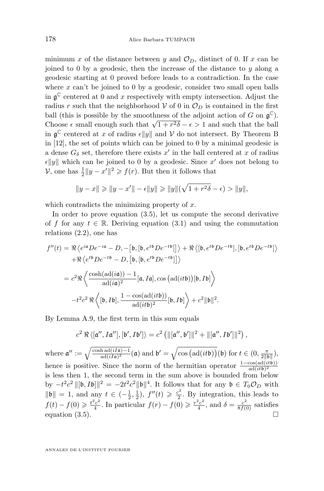<span id="page-12-0"></span>minimum x of the distance between y and  $\mathcal{O}_D$ , distinct of 0. If x can be joined to 0 by a geodesic, then the increase of the distance to  $y$  along a geodesic starting at 0 proved before leads to a contradiction. In the case where  $x$  can't be joined to 0 by a geodesic, consider two small open balls in  $\mathfrak{g}^{\mathbb{C}}$  centered at 0 and x respectively with empty intersection. Adjust the radius r such that the neighborhood V of 0 in  $\mathcal{O}_D$  is contained in the first ball (this is possible by the smoothness of the adjoint action of G on  $\mathfrak{g}^{\mathbb{C}}$ ). Choose  $\epsilon$  small enough such that  $\sqrt{1+r^2\delta}-\epsilon>1$  and such that the ball in  $\mathfrak{g}^{\mathbb{C}}$  centered at x of radius  $\epsilon ||y||$  and V do not intersect. By Theorem B in [\[12\]](#page-30-0), the set of points which can be joined to 0 by a minimal geodesic is a dense  $G_{\delta}$  set, therefore there exists  $x'$  in the ball centered at x of radius  $\epsilon \|y\|$  which can be joined to 0 by a geodesic. Since x' does not belong to V, one has  $\frac{1}{2}||y - x'||^2 \geqslant f(r)$ . But then it follows that

$$
||y - x|| \ge ||y - x'|| - \epsilon ||y|| \ge ||y||(\sqrt{1 + r^2 \delta} - \epsilon) > ||y||,
$$

which contradicts the minimizing property of  $x$ .

In order to prove equation [\(3.5\)](#page-11-0), let us compute the second derivative of f for any  $t \in \mathbb{R}$ . Deriving equation [\(3.1\)](#page-9-0) and using the commutation relations [\(2.2\)](#page-7-0), one has

$$
f''(t) = \Re \langle e^{i\mathbf{a}} De^{-i\mathbf{a}} - D, -[ \mathfrak{b}, [ \mathfrak{b}, e^{t\mathfrak{b}} De^{-t\mathfrak{b}} ] ] \rangle + \Re \langle [ \mathfrak{b}, e^{t\mathfrak{b}} De^{-t\mathfrak{b}} ], [ \mathfrak{b}, e^{t\mathfrak{b}} De^{-t\mathfrak{b}} ] \rangle
$$
  
+  $\Re \langle e^{t\mathfrak{b}} De^{-t\mathfrak{b}} - D, [ \mathfrak{b}, [ \mathfrak{b}, e^{t\mathfrak{b}} De^{-t\mathfrak{b}} ] ] \rangle$   
=  $c^2 \Re \langle \frac{\cosh(\mathrm{ad}(i\mathfrak{a})) - 1}{\mathrm{ad}(i\mathfrak{a})^2} [\mathfrak{a}, I\mathfrak{a}], \cos(\mathrm{ad}(it\mathfrak{b})) [\mathfrak{b}, I\mathfrak{b}] \rangle$   
 $-t^2 c^2 \Re \langle [ \mathfrak{b}, I\mathfrak{b} ], \frac{1 - \cos(\mathrm{ad}(it\mathfrak{b}))}{\mathrm{ad}(it\mathfrak{b})^2} [\mathfrak{b}, I\mathfrak{b} ] \rangle + c^2 \|\mathfrak{b}\|^2.$ 

By Lemma [A.9,](#page-28-0) the first term in this sum equals

$$
c^2 \Re \langle [a'', Ia''], [b', Ib'] \rangle = c^2 \left( ||[a'', b']||^2 + ||[a'', Ib']||^2 \right),
$$

where  $\mathfrak{a}'' := \sqrt{\frac{\cosh \operatorname{ad}(iI\mathfrak{a})-1}{\operatorname{ad}(iI\mathfrak{a})^2}}(\mathfrak{a})$  and  $\mathfrak{b}' = \sqrt{\cos \big(\operatorname{ad}(it\mathfrak{b})\big)}(\mathfrak{b})$  for  $t \in (0, \frac{\pi}{2\|\mathfrak{b}\|})$ , hence is positive. Since the norm of the hermitian operator  $\frac{1-\cos(\text{ad}(it\mathfrak{b}))}{\text{ad}(it\mathfrak{b})^2}$ is less then 1, the second term in the sum above is bounded from below by  $-t^2c^2 \|[{\bf b}, I{\bf b}]\|^2 = -2t^2c^2 \|\bf b\|^4$ . It follows that for any  ${\bf b} \in T_0\mathcal{O}_D$  with  $\|\mathfrak{b}\| = 1$ , and any  $t \in (-\frac{1}{2}, \frac{1}{2})$ ,  $f''(t) \geqslant \frac{c^2}{2}$  $\frac{2^2}{2}$ . By integration, this leads to  $f(t) - f(0) \geqslant \frac{t^2 c^2}{4}$  $\frac{f^2c^2}{4}$ . In particular  $f(r) - f(0) \geq \frac{r^2c^2}{4}$  $\frac{c^2c^2}{4}$ , and  $\delta = \frac{c^2}{8f(0)}$  satisfies equation  $(3.5)$ .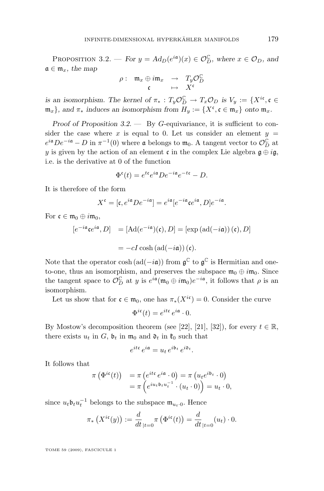PROPOSITION 3.2. — *For*  $y = Ad_D(e^{ia})(x) \in \mathcal{O}_D^{\mathbb{C}}$ , where  $x \in \mathcal{O}_D$ , and  $a \in \mathfrak{m}_x$ , the map

$$
\rho: \begin{array}{ccc} \mathfrak{m}_x \oplus i\mathfrak{m}_x & \to & T_y \mathcal{O}_D^{\mathbb{C}} \\ \mathfrak{c} & \mapsto & X^{\mathfrak{c}} \end{array}
$$

*is an isomorphism. The kernel of*  $\pi_* : T_y \mathcal{O}_D^{\mathbb{C}} \to T_x \mathcal{O}_D$  *is*  $V_y := \{X^{ic}, c \in$  $\{\mathfrak{m}_x\}$ , and  $\pi_*$  induces an isomorphism from  $H_y := \{X^{\mathfrak{c}}, \mathfrak{c} \in \mathfrak{m}_x\}$  onto  $\mathfrak{m}_x$ .

*Proof of Proposition* [3.2.](#page-12-0) — By G-equivariance, it is sufficient to consider the case where x is equal to 0. Let us consider an element  $y =$  $e^{i\mathfrak{a}}De^{-i\mathfrak{a}} - D$  in  $\pi^{-1}(0)$  where  $\mathfrak{a}$  belongs to  $\mathfrak{m}_0$ . A tangent vector to  $\mathcal{O}_D^{\mathbb{C}}$  at y is given by the action of an element c in the complex Lie algebra  $\mathfrak{g} \oplus i\mathfrak{g}$ , i.e. is the derivative at 0 of the function

$$
\Phi^{\mathfrak{c}}(t) = e^{t\mathfrak{c}} e^{i\mathfrak{a}} D e^{-i\mathfrak{a}} e^{-t\mathfrak{c}} - D.
$$

It is therefore of the form

$$
X^{\mathfrak{c}} = [\mathfrak{c}, e^{i\mathfrak{a}} D e^{-i\mathfrak{a}}] = e^{i\mathfrak{a}} [e^{-i\mathfrak{a}} \mathfrak{c} e^{i\mathfrak{a}}, D] e^{-i\mathfrak{a}}.
$$

For  $\mathfrak{c} \in \mathfrak{m}_0 \oplus i\mathfrak{m}_0$ ,

$$
[e^{-i\mathfrak{a}}\mathfrak{c}e^{i\mathfrak{a}},D] = [\text{Ad}(e^{-i\mathfrak{a}})(\mathfrak{c}),D] = [\exp(\text{ad}(-i\mathfrak{a}))(\mathfrak{c}),D]
$$

$$
= -cI\cosh(\text{ad}(-i\mathfrak{a}))(\mathfrak{c}).
$$

Note that the operator cosh  $(\text{ad}(-i\mathfrak{a}))$  from  $\mathfrak{g}^{\mathbb{C}}$  to  $\mathfrak{g}^{\mathbb{C}}$  is Hermitian and oneto-one, thus an isomorphism, and preserves the subspace  $\mathfrak{m}_0 \oplus i\mathfrak{m}_0$ . Since the tangent space to  $\mathcal{O}_D^{\mathbb{C}}$  at y is  $e^{i\mathfrak{a}}(\mathfrak{m}_0 \oplus i\mathfrak{m}_0)e^{-i\mathfrak{a}}$ , it follows that  $\rho$  is an isomorphism.

Let us show that for  $\mathfrak{c} \in \mathfrak{m}_0$ , one has  $\pi_*(X^{i\mathfrak{c}}) = 0$ . Consider the curve

$$
\Phi^{i\mathfrak{e}}(t) = e^{it\mathfrak{e}} e^{i\mathfrak{a}} \cdot 0.
$$

By Mostow's decomposition theorem (see [\[22\]](#page-30-0), [\[21\]](#page-30-0), [\[32\]](#page-31-0)), for every  $t \in \mathbb{R}$ , there exists  $u_t$  in G,  $\mathfrak{b}_t$  in  $\mathfrak{m}_0$  and  $\mathfrak{d}_t$  in  $\mathfrak{k}_0$  such that

$$
e^{it\mathfrak{e}} e^{i\mathfrak{a}} = u_t e^{i\mathfrak{b}_t} e^{i\mathfrak{d}_t}.
$$

It follows that

$$
\pi\left(\Phi^{i\mathfrak{e}}(t)\right) = \pi\left(e^{it\mathfrak{e}}e^{i\mathfrak{a}}\cdot 0\right) = \pi\left(u_t e^{i\mathfrak{b}_t}\cdot 0\right)
$$

$$
= \pi\left(e^{iu_t \mathfrak{b}_t u_t^{-1}}\cdot (u_t \cdot 0)\right) = u_t \cdot 0,
$$

since  $u_t \mathfrak{b}_t u_t^{-1}$  belongs to the subspace  $\mathfrak{m}_{u_t \cdot 0}$ . Hence

$$
\pi_*\left(X^{i\mathfrak{c}}(y)\right) := \frac{d}{dt}_{|t=0} \pi\left(\Phi^{i\mathfrak{c}}(t)\right) = \frac{d}{dt}_{|t=0}(u_t) \cdot 0.
$$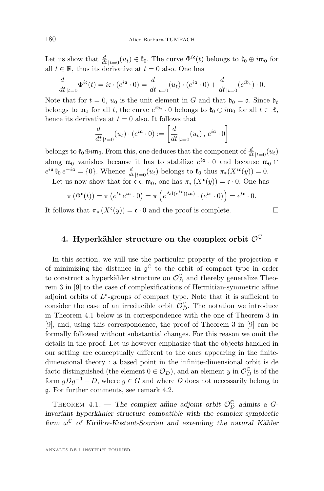<span id="page-14-0"></span>Let us show that  $\frac{d}{dt}|_{t=0}(u_t) \in \mathfrak{k}_0$ . The curve  $\Phi^{i\mathfrak{e}}(t)$  belongs to  $\mathfrak{k}_0 \oplus i\mathfrak{m}_0$  for all  $t \in \mathbb{R}$ , thus its derivative at  $t = 0$  also. One has

$$
\frac{d}{dt}_{|t=0} \Phi^{i\mathfrak{e}}(t) = i\mathfrak{e} \cdot (e^{i\mathfrak{a}} \cdot 0) = \frac{d}{dt}_{|t=0}(u_t) \cdot (e^{i\mathfrak{a}} \cdot 0) + \frac{d}{dt}_{|t=0}(e^{i\mathfrak{b}_t}) \cdot 0.
$$

Note that for  $t = 0$ ,  $u_0$  is the unit element in G and that  $\mathfrak{b}_0 = \mathfrak{a}$ . Since  $\mathfrak{b}_t$ belongs to  $\mathfrak{m}_0$  for all t, the curve  $e^{i\mathfrak{b}_t} \cdot 0$  belongs to  $\mathfrak{k}_0 \oplus i\mathfrak{m}_0$  for all  $t \in \mathbb{R}$ , hence its derivative at  $t = 0$  also. It follows that

$$
\frac{d}{dt}_{|t=0}(u_t) \cdot (e^{i\mathfrak{a}} \cdot 0) := \left[ \frac{d}{dt}_{|t=0}(u_t), e^{i\mathfrak{a}} \cdot 0 \right]
$$

belongs to  $\mathfrak{k}_0 \oplus i \mathfrak{m}_0$ . From this, one deduces that the component of  $\frac{d}{dt}|_{t=0}(u_t)$ along  $\mathfrak{m}_0$  vanishes because it has to stabilize  $e^{i\mathfrak{a}} \cdot 0$  and because  $\mathfrak{m}_0 \cap$  $e^{i\mathfrak{a}}\mathfrak{k}_0 e^{-i\mathfrak{a}} = \{0\}.$  Whence  $\frac{d}{dt}|_{t=0}(u_t)$  belongs to  $\mathfrak{k}_0$  thus  $\pi_*(X^{i\mathfrak{c}}(y)) = 0.$ 

Let us now show that for  $\mathfrak{c} \in \mathfrak{m}_0$ , one has  $\pi_*(X^{\mathfrak{c}}(y)) = \mathfrak{c} \cdot 0$ . One has

$$
\pi\left(\Phi^{\mathfrak{c}}(t)\right)=\pi\left(e^{t\mathfrak{c}}e^{i\mathfrak{a}}\cdot 0\right)=\pi\left(e^{\mathrm{Ad}(e^{t\mathfrak{c}})(i\mathfrak{a})}\cdot\left(e^{t\mathfrak{c}}\cdot 0\right)\right)=e^{t\mathfrak{c}}\cdot 0.
$$

It follows that  $\pi_*(X^{\mathfrak{c}}(y)) = \mathfrak{c} \cdot 0$  and the proof is complete.

#### 4. Hyperkähler structure on the complex orbit  $\mathcal{O}^{\mathbb{C}}$

In this section, we will use the particular property of the projection  $\pi$ of minimizing the distance in  $\mathfrak{g}^{\mathbb{C}}$  to the orbit of compact type in order to construct a hyperkähler structure on  $\mathcal{O}_D^{\mathbb{C}}$  and thereby generalize Theorem 3 in [\[9\]](#page-30-0) to the case of complexifications of Hermitian-symmetric affine adjoint orbits of  $L^*$ -groups of compact type. Note that it is sufficient to consider the case of an irreducible orbit  $\mathcal{O}_D^{\mathbb{C}}$ . The notation we introduce in Theorem 4.1 below is in correspondence with the one of Theorem 3 in [\[9\]](#page-30-0), and, using this correspondence, the proof of Theorem 3 in [\[9\]](#page-30-0) can be formally followed without substantial changes. For this reason we omit the details in the proof. Let us however emphasize that the objects handled in our setting are conceptually different to the ones appearing in the finitedimensional theory : a based point in the infinite-dimensional orbit is de facto distinguished (the element  $0 \in \mathcal{O}_D$ ), and an element y in  $\mathcal{O}_D^{\mathbb{C}}$  is of the form  $gDg^{-1} - D$ , where  $g \in G$  and where D does not necessarily belong to g. For further comments, see remark [4.2.](#page-16-0)

THEOREM 4.1. — The complex affine adjoint orbit  $\mathcal{O}_D^{\mathbb{C}}$  admits a G*invariant hyperkähler structure compatible with the complex symplectic form* ω <sup>C</sup> *of Kirillov-Kostant-Souriau and extending the natural Kähler*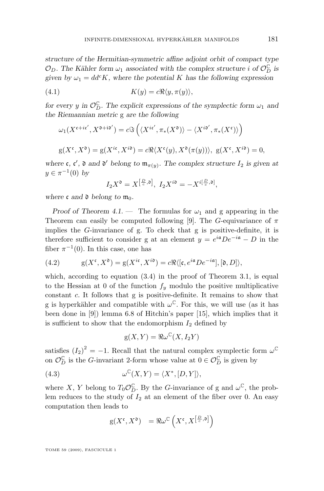<span id="page-15-0"></span>*structure of the Hermitian-symmetric affine adjoint orbit of compact type*  $\mathcal{O}_D$ . The Kähler form  $\omega_1$  associated with the complex structure *i* of  $\mathcal{O}_D^{\mathbb{C}}$  is given by  $\omega_1 = dd^c K$ , where the potential K has the following expression

(4.1) 
$$
K(y) = c \Re \langle y, \pi(y) \rangle,
$$

*for every y* in  $\mathcal{O}_D^{\mathbb{C}}$ . The explicit expressions of the symplectic form  $\omega_1$  and *the Riemannian metric* g *are the following*

$$
\omega_1(X^{\mathfrak{c}+i\mathfrak{c}'}, X^{\mathfrak{d}+i\mathfrak{d}'}) = c\mathfrak{F}\left(\langle X^{i\mathfrak{c}'}, \pi_*(X^{\mathfrak{d}}) \rangle - \langle X^{i\mathfrak{d}'}, \pi_*(X^{\mathfrak{c}}) \rangle \right)
$$
  

$$
g(X^{\mathfrak{c}}, X^{\mathfrak{d}}) = g(X^{i\mathfrak{c}}, X^{i\mathfrak{d}}) = c\Re\langle X^{\mathfrak{c}}(y), X^{\mathfrak{d}}(\pi(y)) \rangle, g(X^{\mathfrak{c}}, X^{i\mathfrak{d}}) = 0,
$$

where  $\mathfrak{c}, \mathfrak{c}', \mathfrak{d}$  and  $\mathfrak{d}'$  belong to  $\mathfrak{m}_{\pi(y)}$ . The complex structure  $I_2$  is given at  $y \in \pi^{-1}(0)$  by

$$
I_2X^{\mathfrak{d}} = X^{\left[\frac{D}{c},\mathfrak{d}\right]}, \ I_2X^{i\mathfrak{d}} = -X^{i\left[\frac{D}{c},\mathfrak{d}\right]},
$$

*where* c and  $\mathfrak d$  *belong* to  $\mathfrak m_0$ *.* 

*Proof of Theorem [4.1.](#page-14-0)* — The formulas for  $\omega_1$  and g appearing in the Theorem can easily be computed following [\[9\]](#page-30-0). The G-equivariance of  $\pi$ implies the G-invariance of g. To check that g is positive-definite, it is therefore sufficient to consider g at an element  $y = e^{i\mathfrak{a}} D e^{-i\mathfrak{a}} - D$  in the fiber  $\pi^{-1}(0)$ . In this case, one has

(4.2) 
$$
g(X^{\mathfrak{c}}, X^{\mathfrak{d}}) = g(X^{i\mathfrak{c}}, X^{i\mathfrak{d}}) = c \Re \langle [\mathfrak{c}, e^{i\mathfrak{a}} D e^{-i\mathfrak{a}}], [\mathfrak{d}, D] \rangle,
$$

which, according to equation  $(3.4)$  in the proof of Theorem [3.1,](#page-8-0) is equal to the Hessian at 0 of the function  $f_y$  modulo the positive multiplicative constant c. It follows that g is positive-definite. It remains to show that g is hyperkähler and compatible with  $\omega^{\mathbb{C}}$ . For this, we will use (as it has been done in [\[9\]](#page-30-0)) lemma 6.8 of Hitchin's paper [\[15\]](#page-30-0), which implies that it is sufficient to show that the endomorphism  $I_2$  defined by

$$
g(X,Y) = \Re \omega^{\mathbb{C}}(X, I_2Y)
$$

satisfies  $(I_2)^2 = -1$ . Recall that the natural complex symplectic form  $\omega^{\mathbb{C}}$ on  $\mathcal{O}_D^{\mathbb{C}}$  is the G-invariant 2-form whose value at  $0 \in \mathcal{O}_D^{\mathbb{C}}$  is given by

(4.3) 
$$
\omega^{\mathbb{C}}(X,Y) = \langle X^*, [D,Y] \rangle,
$$

where X, Y belong to  $T_0 \mathcal{O}_D^{\mathbb{C}}$ . By the G-invariance of g and  $\omega^{\mathbb{C}}$ , the problem reduces to the study of  $I_2$  at an element of the fiber over 0. An easy computation then leads to

$$
g(X^{\mathfrak{c}}, X^{\mathfrak{d}}) = \Re \omega^{\mathbb{C}} \left( X^{\mathfrak{c}}, X^{\left[\frac{D}{c}, \mathfrak{d}\right]} \right)
$$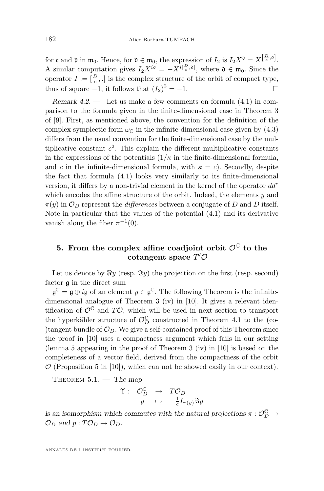<span id="page-16-0"></span>for c and  $\mathfrak d$  in  $\mathfrak m_0$ . Hence, for  $\mathfrak d \in \mathfrak m_0$ , the expression of  $I_2$  is  $I_2X^{\mathfrak d}=X^{[\frac{D}{c},\mathfrak d]}$ . A similar computation gives  $I_2 X^{i\mathfrak{d}} = -X^{i[\frac{D}{c},\mathfrak{d}]}$ , where  $\mathfrak{d} \in \mathfrak{m}_0$ . Since the operator  $I := \left[\frac{D}{c},.\right]$  is the complex structure of the orbit of compact type, thus of square  $-1$ , it follows that  $(I_2)^2 = -1$ .

*Remark 4.2. —* Let us make a few comments on formula [\(4.1\)](#page-15-0) in comparison to the formula given in the finite-dimensional case in Theorem 3 of [\[9\]](#page-30-0). First, as mentioned above, the convention for the definition of the complex symplectic form  $\omega_{\mathcal{C}}$  in the infinite-dimensional case given by [\(4.3\)](#page-15-0) differs from the usual convention for the finite-dimensional case by the multiplicative constant  $c^2$ . This explain the different multiplicative constants in the expressions of the potentials  $(1/\kappa)$  in the finite-dimensional formula, and c in the infinite-dimensional formula, with  $\kappa = c$ ). Secondly, despite the fact that formula [\(4.1\)](#page-15-0) looks very similarly to its finite-dimensional version, it differs by a non-trivial element in the kernel of the operator  $dd^c$ which encodes the affine structure of the orbit. Indeed, the elements  $y$  and  $\pi(y)$  in  $\mathcal{O}_D$  represent the *differences* between a conjugate of D and D itself. Note in particular that the values of the potential [\(4.1\)](#page-15-0) and its derivative vanish along the fiber  $\pi^{-1}(0)$ .

#### **5. From the complex affine coadjoint orbit**  $\mathcal{O}^{\mathbb{C}}$  to the cotangent space  $T'O$

Let us denote by  $\Re y$  (resp.  $\Im y$ ) the projection on the first (resp. second) factor g in the direct sum

 $\mathfrak{g}^{\mathbb{C}} = \mathfrak{g} \oplus i\mathfrak{g}$  of an element  $y \in \mathfrak{g}^{\mathbb{C}}$ . The following Theorem is the infinite-dimensional analogue of Theorem 3 (iv) in [\[10\]](#page-30-0). It gives a relevant identification of  $\mathcal{O}^{\mathbb{C}}$  and  $T\mathcal{O}$ , which will be used in next section to transport the hyperkähler structure of  $\mathcal{O}_D^{\mathbb{C}}$  constructed in Theorem [4.1](#page-14-0) to the (co-)tangent bundle of  $\mathcal{O}_D$ . We give a self-contained proof of this Theorem since the proof in [\[10\]](#page-30-0) uses a compactness argument which fails in our setting (lemma 5 appearing in the proof of Theorem 3 (iv) in [\[10\]](#page-30-0) is based on the completeness of a vector field, derived from the compactness of the orbit  $\mathcal{O}$  (Proposition 5 in [\[10\]](#page-30-0)), which can not be showed easily in our context).

Theorem 5.1. — *The map*

$$
\begin{array}{cccc}\n\Upsilon : & \mathcal{O}_{D}^{\mathbb{C}} & \to & T\mathcal{O}_{D} \\
y & \mapsto & -\frac{1}{c}I_{\pi(y)}\Im y\n\end{array}
$$

*is an isomorphism which commutes with the natural projections*  $\pi : \mathcal{O}_D^{\mathbb{C}} \to$  $\mathcal{O}_D$  and  $p: T\mathcal{O}_D \to \mathcal{O}_D$ .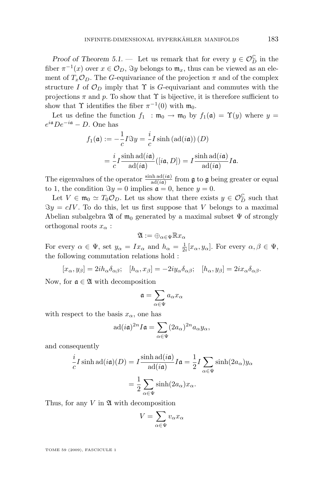*Proof of Theorem* [5.1.](#page-16-0) — Let us remark that for every  $y \in \mathcal{O}_D^{\mathbb{C}}$  in the fiber  $\pi^{-1}(x)$  over  $x \in \mathcal{O}_D$ ,  $\Im y$  belongs to  $\mathfrak{m}_x$ , thus can be viewed as an element of  $T_x \mathcal{O}_D$ . The G-equivariance of the projection  $\pi$  and of the complex structure I of  $\mathcal{O}_D$  imply that  $\Upsilon$  is G-equivariant and commutes with the projections  $\pi$  and p. To show that  $\Upsilon$  is bijective, it is therefore sufficient to show that  $\Upsilon$  identifies the fiber  $\pi^{-1}(0)$  with  $\mathfrak{m}_0$ .

Let us define the function  $f_1 : \mathfrak{m}_0 \to \mathfrak{m}_0$  by  $f_1(\mathfrak{a}) = \Upsilon(y)$  where  $y =$  $e^{i\mathfrak{a}}De^{-i\mathfrak{a}}-D$ . One has

$$
f_1(\mathfrak{a}) := -\frac{1}{c} I \Im y = \frac{i}{c} I \sinh (\mathrm{ad}(i\mathfrak{a})) (D)
$$
  
= 
$$
\frac{i}{c} I \frac{\sinh \mathrm{ad}(i\mathfrak{a})}{\mathrm{ad}(i\mathfrak{a})} ([i\mathfrak{a}, D]) = I \frac{\sinh \mathrm{ad}(i\mathfrak{a})}{\mathrm{ad}(i\mathfrak{a})} I \mathfrak{a}.
$$

The eigenvalues of the operator  $\frac{\sinh ad(ia)}{ad(ia)}$  from **g** to **g** being greater or equal to 1, the condition  $\Im y = 0$  implies  $\mathfrak{a} = 0$ , hence  $y = 0$ .

Let  $V \in \mathfrak{m}_0 \simeq T_0 \mathcal{O}_D$ . Let us show that there exists  $y \in \mathcal{O}_D^{\mathbb{C}}$  such that  $\Im y = cIV$ . To do this, let us first suppose that V belongs to a maximal Abelian subalgebra  $\mathfrak A$  of  $\mathfrak m_0$  generated by a maximal subset  $\Psi$  of strongly orthogonal roots  $x_{\alpha}$ :

$$
\mathfrak{A}:=\oplus_{\alpha\in\Psi}\mathbb{R} x_\alpha
$$

For every  $\alpha \in \Psi$ , set  $y_{\alpha} = Ix_{\alpha}$  and  $h_{\alpha} = \frac{1}{2i}[x_{\alpha}, y_{\alpha}]$ . For every  $\alpha, \beta \in \Psi$ , the following commutation relations hold :

 $[x_{\alpha}, y_{\beta}] = 2ih_{\alpha}\delta_{\alpha\beta}; \quad [h_{\alpha}, x_{\beta}] = -2iy_{\alpha}\delta_{\alpha\beta}; \quad [h_{\alpha}, y_{\beta}] = 2ix_{\alpha}\delta_{\alpha\beta}.$ 

Now, for  $\mathfrak{a} \in \mathfrak{A}$  with decomposition

$$
\mathfrak{a}=\sum_{\alpha\in\Psi}a_{\alpha}x_{\alpha}
$$

with respect to the basis  $x_{\alpha}$ , one has

$$
\mathrm{ad}(i\mathfrak{a})^{2n}I\mathfrak{a}=\sum_{\alpha\in\Psi}(2a_{\alpha})^{2n}a_{\alpha}y_{\alpha},
$$

and consequently

$$
\frac{i}{c}I\sinh \text{ad}(i\mathfrak{a})(D) = I\frac{\sinh \text{ad}(i\mathfrak{a})}{\text{ad}(i\mathfrak{a})}I\mathfrak{a} = \frac{1}{2}I\sum_{\alpha\in\Psi}\sinh(2a_{\alpha})y_{\alpha}
$$

$$
= \frac{1}{2}\sum_{\alpha\in\Psi}\sinh(2a_{\alpha})x_{\alpha}.
$$

Thus, for any  $V$  in  $\mathfrak A$  with decomposition

$$
V = \sum_{\alpha \in \Psi} v_{\alpha} x_{\alpha}
$$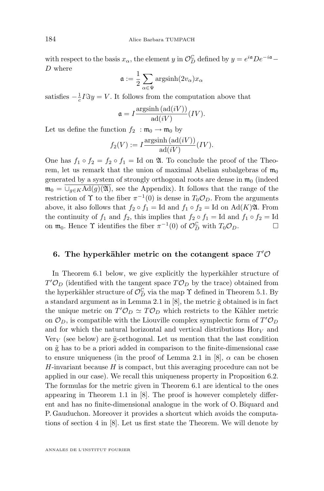with respect to the basis  $x_{\alpha}$ , the element y in  $\mathcal{O}_D^{\mathbb{C}}$  defined by  $y = e^{i\mathfrak{a}} D e^{-i\mathfrak{a}} -$ D where

$$
\mathfrak{a}:=\frac{1}{2}\sum_{\alpha\in\Psi}\mathrm{argsinh}(2v_{\alpha})x_{\alpha}
$$

satisfies  $-\frac{1}{c}I\Im y = V$ . It follows from the computation above that

$$
\mathfrak{a} = I \frac{\operatorname{argsinh}(\operatorname{ad}(iV))}{\operatorname{ad}(iV)}(IV).
$$

Let us define the function  $f_2$ :  $\mathfrak{m}_0 \to \mathfrak{m}_0$  by

$$
f_2(V) := I \frac{\text{argsinh}(\text{ad}(iV))}{\text{ad}(iV)}(IV).
$$

One has  $f_1 \circ f_2 = f_2 \circ f_1 = \text{Id}$  on  $\mathfrak{A}$ . To conclude the proof of the Theorem, let us remark that the union of maximal Abelian subalgebras of  $m_0$ generated by a system of strongly orthogonal roots are dense in  $m_0$  (indeed  $\mathfrak{m}_0 = \bigcup_{g \in K} \text{Ad}(g)(\mathfrak{A})$ , see the Appendix). It follows that the range of the restriction of  $\Upsilon$  to the fiber  $\pi^{-1}(0)$  is dense in  $T_0 \mathcal{O}_D$ . From the arguments above, it also follows that  $f_2 \circ f_1 = \text{Id}$  and  $f_1 \circ f_2 = \text{Id}$  on Ad $(K)$  $\mathfrak{A}$ . From the continuity of  $f_1$  and  $f_2$ , this implies that  $f_2 \circ f_1 = \text{Id}$  and  $f_1 \circ f_2 = \text{Id}$ on  $\mathfrak{m}_0$ . Hence  $\Upsilon$  identifies the fiber  $\pi^{-1}(0)$  of  $\mathcal{O}_D^{\mathbb{C}}$  with  $T_0\mathcal{O}_D$ .

#### 6. The hyperkähler metric on the cotangent space  $T'O$

In Theorem [6.1](#page-19-0) below, we give explicitly the hyperkähler structure of  $T' \mathcal{O}_D$  (identified with the tangent space  $T \mathcal{O}_D$  by the trace) obtained from the hyperkähler structure of  $\mathcal{O}_D^{\mathbb{C}}$  via the map  $\Upsilon$  defined in Theorem [5.1.](#page-16-0) By a standard argument as in Lemma 2.1 in  $[8]$ , the metric  $\tilde{g}$  obtained is in fact the unique metric on  $T' \mathcal{O}_D \simeq T \mathcal{O}_D$  which restricts to the Kähler metric on  $\mathcal{O}_D$ , is compatible with the Liouville complex symplectic form of  $T' \mathcal{O}_D$ and for which the natural horizontal and vertical distributions  $\text{Hor}_V$  and  $\text{Ver}_V$  (see below) are g-orthogonal. Let us mention that the last condition on  $\tilde{g}$  has to be a priori added in comparison to the finite-dimensional case to ensure uniqueness (in the proof of Lemma 2.1 in [\[8\]](#page-30-0),  $\alpha$  can be chosen  $H$ -invariant because  $H$  is compact, but this averaging procedure can not be applied in our case). We recall this uniqueness property in Proposition [6.2.](#page-19-0) The formulas for the metric given in Theorem [6.1](#page-19-0) are identical to the ones appearing in Theorem 1.1 in [\[8\]](#page-30-0). The proof is however completely different and has no finite-dimensional analogue in the work of O. Biquard and P. Gauduchon. Moreover it provides a shortcut which avoids the computations of section 4 in [\[8\]](#page-30-0). Let us first state the Theorem. We will denote by

<span id="page-18-0"></span>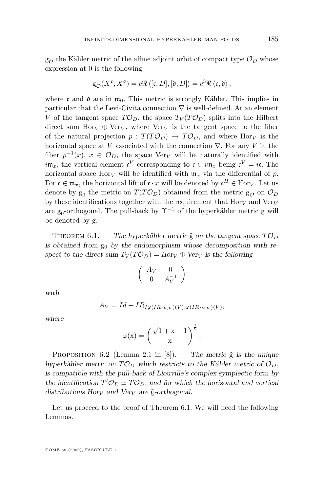<span id="page-19-0"></span> $g_{\mathcal{O}}$  the Kähler metric of the affine adjoint orbit of compact type  $\mathcal{O}_D$  whose expression at 0 is the following

$$
g_{\mathcal{O}}(X^{\mathfrak{c}},X^{\mathfrak{d}})=c\Re\left\langle[\mathfrak{c},D],[\mathfrak{d},D]\right\rangle=c^{3}\Re\left\langle\mathfrak{c},\mathfrak{d}\right\rangle,
$$

where c and  $\mathfrak d$  are in  $\mathfrak m_0$ . This metric is strongly Kähler. This implies in particular that the Levi-Civita connection  $\nabla$  is well-defined. At an element V of the tangent space  $T\mathcal{O}_D$ , the space  $T_V(T\mathcal{O}_D)$  splits into the Hilbert direct sum Hor<sub>V</sub>  $\oplus$  Ver<sub>V</sub>, where Ver<sub>V</sub> is the tangent space to the fiber of the natural projection  $p: T(T\mathcal{O}_D) \to T\mathcal{O}_D$ , and where Hor<sub>V</sub> is the horizontal space at V associated with the connection  $\nabla$ . For any V in the fiber  $p^{-1}(x)$ ,  $x \in \mathcal{O}_D$ , the space Ver<sub>V</sub> will be naturally identified with  $i\mathfrak{m}_x$ , the vertical element  $\mathfrak{c}^V$  corresponding to  $\mathfrak{c} \in i\mathfrak{m}_x$  being  $\mathfrak{c}^V = i\mathfrak{c}$ . The horizontal space Hor<sub>V</sub> will be identified with  $m_x$  via the differential of p. For  $\mathfrak{c} \in \mathfrak{m}_x$ , the horizontal lift of  $\mathfrak{c} \cdot x$  will be denoted by  $\mathfrak{c}^H \in \text{Hor}_V$ . Let us denote by  $g_0$  the metric on  $T(T\mathcal{O}_D)$  obtained from the metric  $g_{\mathcal{O}}$  on  $\mathcal{O}_D$ by these identifications together with the requirement that  $\text{Hor}_V$  and  $\text{Ver}_V$ are g<sub>0</sub>-orthogonal. The pull-back by  $\Upsilon^{-1}$  of the hyperkähler metric g will be denoted by  $\tilde{g}$ .

THEOREM 6.1. — The hyperkähler metric  $\tilde{g}$  on the tangent space  $T\mathcal{O}_D$ is obtained from  $g_0$  by the endomorphism whose decomposition with re*spect to the direct sum*  $T_V(T\mathcal{O}_D) = Hor_V \oplus Ver_V$  *is the following* 

$$
\left(\begin{array}{cc} A_V & 0 \\ 0 & A_V^{-1} \end{array}\right)
$$

*with*

$$
A_V = Id + IR_{I\varphi(IR_{IV,V})(V), \varphi(IR_{IV,V})(V)},
$$

*where*

$$
\varphi(x) = \left(\frac{\sqrt{1+x} - 1}{x}\right)^{\frac{1}{2}}.
$$

PROPOSITION 6.2 (Lemma 2.1 in [\[8\]](#page-30-0)). — *The metric*  $\tilde{g}$  *is the unique hyperkähler metric on*  $T\mathcal{O}_D$  *which restricts to the Kähler metric of*  $\mathcal{O}_D$ *, is compatible with the pull-back of Liouville's complex symplectic form by* the identification  $T' \mathcal{O}_D \simeq T \mathcal{O}_D$ , and for which the horizontal and vertical *distributions Hory and Very are*  $\tilde{g}$ -orthogonal.

Let us proceed to the proof of Theorem 6.1. We will need the following Lemmas.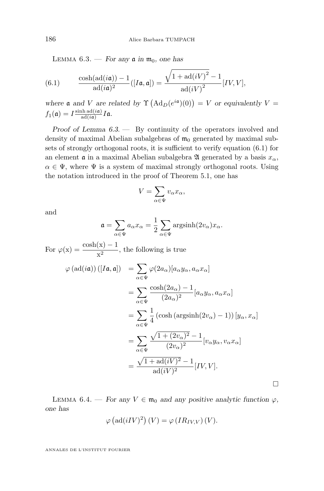<span id="page-20-0"></span>LEMMA  $6.3.$  — *For any*  $\mathfrak{a}$  *in*  $\mathfrak{m}_0$ *, one has* 

(6.1) 
$$
\frac{\cosh(\mathrm{ad}(i\mathfrak{a})) - 1}{\mathrm{ad}(i\mathfrak{a})^2} ([I\mathfrak{a}, \mathfrak{a}]) = \frac{\sqrt{1 + \mathrm{ad}(iV)^2 - 1}}{\mathrm{ad}(iV)^2} [IV, V],
$$

where **a** and *V* are related by  $\Upsilon$  (Ad<sub>D</sub>( $e^{i\mathfrak{a}}$ )(0)) = *V* or equivalently *V* =  $f_1(\mathfrak{a}) = I \frac{\sinh \operatorname{ad}(i\mathfrak{a})}{\operatorname{ad}(i\mathfrak{a})}$  $\frac{\ln \operatorname{aa}(i\mathfrak{a})}{\operatorname{ad}(i\mathfrak{a})}I\mathfrak{a}.$ 

*Proof of Lemma [6.3.](#page-19-0) —* By continuity of the operators involved and density of maximal Abelian subalgebras of  $m_0$  generated by maximal subsets of strongly orthogonal roots, it is sufficient to verify equation (6.1) for an element  $\alpha$  in a maximal Abelian subalgebra  $\mathfrak A$  generated by a basis  $x_\alpha$ ,  $\alpha \in \Psi$ , where  $\Psi$  is a system of maximal strongly orthogonal roots. Using the notation introduced in the proof of Theorem [5.1,](#page-16-0) one has

$$
V = \sum_{\alpha \in \Psi} v_{\alpha} x_{\alpha},
$$

and

$$
\mathfrak{a} = \sum_{\alpha \in \Psi} a_{\alpha} x_{\alpha} = \frac{1}{2} \sum_{\alpha \in \Psi} \mathrm{argsinh}(2v_{\alpha}) x_{\alpha}.
$$

For  $\varphi(x) = \frac{\cosh(x) - 1}{x^2}$ , the following is true  $\varphi\left(\mathrm{ad}(i\mathfrak{a})\right) ([I\mathfrak{a},\mathfrak{a}]) \;\;\; = \sum \varphi(2a_{\alpha})[a_{\alpha}y_{\alpha},a_{\alpha}x_{\alpha}]$ 

$$
\varphi(\text{ad}(u)) (P(u, u)) = \sum_{\alpha \in \Psi} \varphi(2a_{\alpha}) [a_{\alpha} y_{\alpha}, a_{\alpha} x_{\alpha}]
$$
  
\n
$$
= \sum_{\alpha \in \Psi} \frac{\cosh(2a_{\alpha}) - 1}{(2a_{\alpha})^2} [a_{\alpha} y_{\alpha}, a_{\alpha} x_{\alpha}]
$$
  
\n
$$
= \sum_{\alpha \in \Psi} \frac{1}{4} (\cosh(\text{argsinh}(2v_{\alpha}) - 1)) [y_{\alpha}, x_{\alpha}]
$$
  
\n
$$
= \sum_{\alpha \in \Psi} \frac{\sqrt{1 + (2v_{\alpha})^2} - 1}{(2v_{\alpha})^2} [v_{\alpha} y_{\alpha}, v_{\alpha} x_{\alpha}]
$$
  
\n
$$
= \frac{\sqrt{1 + \text{ad}(iV)^2} - 1}{\text{ad}(iV)^2} [IV, V].
$$

LEMMA 6.4. — For any  $V \in \mathfrak{m}_0$  and any positive analytic function  $\varphi$ , *one has*

$$
\varphi\left(\mathrm{ad}(iIV)^2\right)(V) = \varphi\left(IR_{IV,V}\right)(V).
$$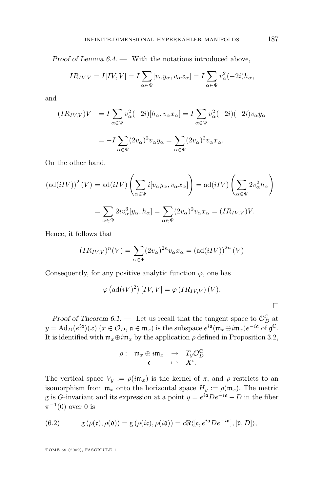*Proof of Lemma [6.4.](#page-20-0) —* With the notations introduced above,

$$
IR_{IV,V} = I[IV,V] = I \sum_{\alpha \in \Psi} [v_{\alpha} y_{\alpha}, v_{\alpha} x_{\alpha}] = I \sum_{\alpha \in \Psi} v_{\alpha}^{2}(-2i)h_{\alpha},
$$

and

$$
(IR_{IV,V})V = I \sum_{\alpha \in \Psi} v_{\alpha}^{2}(-2i)[h_{\alpha}, v_{\alpha}x_{\alpha}] = I \sum_{\alpha \in \Psi} v_{\alpha}^{2}(-2i)(-2i)v_{\alpha}y_{\alpha}
$$

$$
= -I \sum_{\alpha \in \Psi} (2v_{\alpha})^{2}v_{\alpha}y_{\alpha} = \sum_{\alpha \in \Psi} (2v_{\alpha})^{2}v_{\alpha}x_{\alpha}.
$$

On the other hand,

$$
\left(\mathrm{ad}(iIV)\right)^2(V) = \mathrm{ad}(iIV)\left(\sum_{\alpha \in \Psi} i[v_{\alpha}y_{\alpha}, v_{\alpha}x_{\alpha}]\right) = \mathrm{ad}(iIV)\left(\sum_{\alpha \in \Psi} 2v_{\alpha}^2 h_{\alpha}\right)
$$

$$
= \sum_{\alpha \in \Psi} 2iv_{\alpha}^3[y_{\alpha}, h_{\alpha}] = \sum_{\alpha \in \Psi} (2v_{\alpha})^2 v_{\alpha}x_{\alpha} = (IR_{IV,V})V.
$$

Hence, it follows that

$$
(IR_{IV,V})^n(V) = \sum_{\alpha \in \Psi} (2v_{\alpha})^{2n} v_{\alpha} x_{\alpha} = (\text{ad}(iIV))^{2n} (V)
$$

Consequently, for any positive analytic function  $\varphi$ , one has

$$
\varphi\left(\mathrm{ad}(iV)^2\right)[IV,V] = \varphi\left(IR_{IV,V}\right)(V).
$$

 $\Box$ 

*Proof of Theorem [6.1.](#page-19-0)* — Let us recall that the tangent space to  $\mathcal{O}_D^{\mathbb{C}}$  at  $y = \text{Ad}_D(e^{i\mathfrak{a}})(x)$   $(x \in \mathcal{O}_D, \mathfrak{a} \in \mathfrak{m}_x)$  is the subspace  $e^{i\mathfrak{a}}(\mathfrak{m}_x \oplus i\mathfrak{m}_x)e^{-i\mathfrak{a}}$  of  $\mathfrak{g}^{\mathbb{C}}$ . It is identified with  $\mathfrak{m}_x \oplus i\mathfrak{m}_x$  by the application  $\rho$  defined in Proposition [3.2,](#page-12-0)

$$
\rho: \mathfrak{m}_x \oplus i\mathfrak{m}_x \rightarrow T_y \mathcal{O}_D^{\mathbb{C}}
$$
  

$$
\mathfrak{c} \rightarrow X^{\mathfrak{c}}.
$$

The vertical space  $V_y := \rho(i\mathfrak{m}_x)$  is the kernel of  $\pi$ , and  $\rho$  restricts to an isomorphism from  $\mathfrak{m}_x$  onto the horizontal space  $H_y := \rho(\mathfrak{m}_x)$ . The metric g is G-invariant and its expression at a point  $y = e^{i\mathfrak{a}} D e^{-i\mathfrak{a}} - D$  in the fiber  $\pi^{-1}(0)$  over 0 is

(6.2) 
$$
g(\rho(\mathfrak{c}), \rho(\mathfrak{d})) = g(\rho(i\mathfrak{c}), \rho(i\mathfrak{d})) = c \Re \langle [\mathfrak{c}, e^{i\mathfrak{a}} D e^{-i\mathfrak{a}}], [\mathfrak{d}, D] \rangle,
$$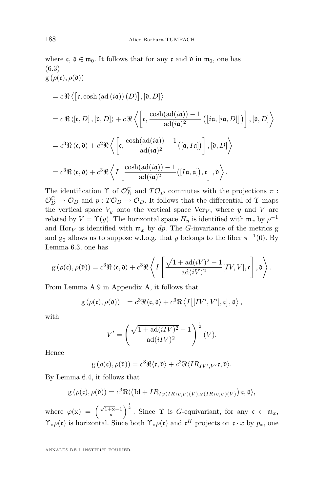where 
$$
\mathbf{c}, \mathbf{d} \in \mathfrak{m}_0
$$
. It follows that for any  $\mathbf{c}$  and  $\mathbf{d}$  in  $\mathfrak{m}_0$ , one has  
\n(6.3)  
\n $g(\rho(\mathbf{c}), \rho(\mathbf{d}))$   
\n $= c \Re \langle [\mathbf{c}, \cosh(\mathrm{ad}(i\mathfrak{a}))(D)], [\mathbf{d}, D] \rangle$   
\n $= c \Re \langle [\mathbf{c}, D], [\mathbf{d}, D] \rangle + c \Re \langle \left[ \mathbf{c}, \frac{\cosh(\mathrm{ad}(i\mathfrak{a})) - 1}{\mathrm{ad}(i\mathfrak{a})^2} ([i\mathfrak{a}, [i\mathfrak{a}, D]]) \right], [\mathbf{d}, D] \rangle$   
\n $= c^3 \Re \langle \mathbf{c}, \mathbf{d} \rangle + c^2 \Re \langle \left[ \mathbf{c}, \frac{\cosh(\mathrm{ad}(i\mathfrak{a})) - 1}{\mathrm{ad}(i\mathfrak{a})^2} ([\mathfrak{a}, I\mathfrak{a}]) \right], [\mathbf{d}, D] \rangle$   
\n $= c^3 \Re \langle \mathbf{c}, \mathbf{d} \rangle + c^3 \Re \langle I \left[ \frac{\cosh(\mathrm{ad}(i\mathfrak{a})) - 1}{\mathrm{ad}(i\mathfrak{a})^2} ([I\mathfrak{a}, \mathfrak{a}]), \mathbf{c} \right], \mathbf{d} \rangle.$ 

The identification  $\Upsilon$  of  $\mathcal{O}_D^{\mathbb{C}}$  and  $T\mathcal{O}_D$  commutes with the projections  $\pi$ :  $\mathcal{O}_D^{\mathbb{C}} \to \mathcal{O}_D$  and  $p: T\mathcal{O}_D \to \mathcal{O}_D$ . It follows that the differential of  $\Upsilon$  maps the vertical space  $V_y$  onto the vertical space  $\text{Ver}_V$ , where y and V are related by  $V = \Upsilon(y)$ . The horizontal space  $H_y$  is identified with  $\mathfrak{m}_x$  by  $\rho^{-1}$ and Hory is identified with  $\mathfrak{m}_x$  by dp. The G-invariance of the metrics g and  $g_0$  allows us to suppose w.l.o.g. that y belongs to the fiber  $\pi^{-1}(0)$ . By Lemma [6.3,](#page-19-0) one has

$$
g(\rho(\mathfrak{c}), \rho(\mathfrak{d})) = c^3 \Re \langle \mathfrak{c}, \mathfrak{d} \rangle + c^3 \Re \left\langle I \left[ \frac{\sqrt{1 + \mathrm{ad}(iV)^2} - 1}{\mathrm{ad}(iV)^2} [IV, V], \mathfrak{c} \right], \mathfrak{d} \right\rangle.
$$

From Lemma [A.9](#page-28-0) in Appendix A, it follows that

$$
g(\rho(\mathfrak{c}),\rho(\mathfrak{d})) = c^3 \Re \langle \mathfrak{c}, \mathfrak{d} \rangle + c^3 \Re \langle I[[IV',V'],\mathfrak{c}],\mathfrak{d} \rangle,
$$

with

$$
V' = \left(\frac{\sqrt{1 + \text{ad}(iIV)^2} - 1}{\text{ad}(iIV)^2}\right)^{\frac{1}{2}}(V).
$$

Hence

$$
g(\rho(\mathfrak{c}),\rho(\mathfrak{d}))=c^3\Re\langle\mathfrak{c},\mathfrak{d}\rangle+c^3\Re\langle IR_{IV',V'}\mathfrak{c},\mathfrak{d}\rangle.
$$

By Lemma [6.4,](#page-20-0) it follows that

$$
g(\rho(\mathfrak{c}), \rho(\mathfrak{d})) = c^3 \Re \langle \big( \mathrm{Id} + IR_{I\varphi(IR_{IV,V})(V), \varphi(IR_{IV,V})(V)} \big) \mathfrak{c}, \mathfrak{d} \rangle,
$$

where  $\varphi(x) = \left(\frac{\sqrt{1+x}-1}{x}\right)^{\frac{1}{2}}$ . Since  $\Upsilon$  is *G*-equivariant, for any  $\mathfrak{c} \in \mathfrak{m}_x$ ,  $\Upsilon_*\rho(\mathfrak{c})$  is horizontal. Since both  $\Upsilon_*\rho(\mathfrak{c})$  and  $\mathfrak{c}^H$  projects on  $\mathfrak{c} \cdot x$  by  $p_*$ , one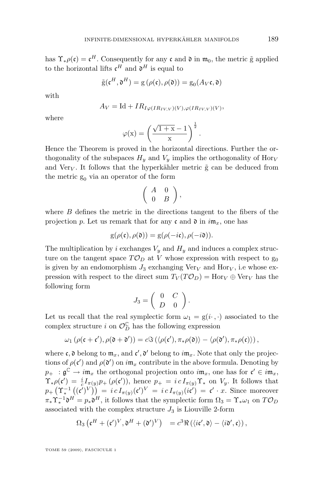has  $\Upsilon_* \rho(\mathfrak{c}) = \mathfrak{c}^H$ . Consequently for any  $\mathfrak{c}$  and  $\mathfrak{d}$  in  $\mathfrak{m}_0$ , the metric  $\tilde{g}$  applied to the horizontal lifts  $\mathfrak{c}^H$  and  $\mathfrak{d}^H$  is equal to

$$
\tilde{\mathbf{g}}(\mathbf{c}^H, \mathfrak{d}^H) = \mathbf{g}\left(\rho(\mathfrak{c}), \rho(\mathfrak{d})\right) = \mathbf{g}_0(A_V \mathfrak{c}, \mathfrak{d})
$$

with

$$
A_V = \text{Id} + IR_{I\varphi(IR_{IV,V})(V), \varphi(IR_{IV,V})(V)},
$$

where

$$
\varphi(x) = \left(\frac{\sqrt{1+x} - 1}{x}\right)^{\frac{1}{2}}.
$$

Hence the Theorem is proved in the horizontal directions. Further the orthogonality of the subspaces  $H_y$  and  $V_y$  implies the orthogonality of Hor<sub>V</sub> and Very. It follows that the hyperkähler metric  $\tilde{g}$  can be deduced from the metric  $g_0$  via an operator of the form

$$
\left(\begin{array}{cc}A&0\\0&B\end{array}\right),
$$

where B defines the metric in the directions tangent to the fibers of the projection p. Let us remark that for any c and  $\mathfrak d$  in  $i\mathfrak m_x$ , one has

$$
g(\rho(\mathfrak{c}), \rho(\mathfrak{d})) = g(\rho(-i\mathfrak{c}), \rho(-i\mathfrak{d})).
$$

The multiplication by i exchanges  $V_y$  and  $H_y$  and induces a complex structure on the tangent space  $T\mathcal{O}_D$  at V whose expression with respect to  $g_0$ is given by an endomorphism  $J_3$  exchanging  $\text{Ver}_V$  and  $\text{Hor}_V$ , i.e whose expression with respect to the direct sum  $T_V(T\mathcal{O}_D) = \text{Hor}_V \oplus \text{Ver}_V$  has the following form

$$
J_3=\left(\begin{array}{cc} 0 & C \\ D & 0 \end{array}\right).
$$

Let us recall that the real symplectic form  $\omega_1 = g(i \cdot, \cdot)$  associated to the complex structure i on  $\mathcal{O}_D^{\mathbb{C}}$  has the following expression

$$
\omega_1(\rho(\mathfrak{c}+\mathfrak{c}'),\rho(\mathfrak{d}+\mathfrak{d}'))=c\Im\left(\langle \rho(\mathfrak{c}'),\pi_*\rho(\mathfrak{d})\rangle-\langle \rho(\mathfrak{d}'),\pi_*\rho(\mathfrak{c})\rangle\right),
$$

where  $\mathfrak{c}, \mathfrak{d}$  belong to  $\mathfrak{m}_x$ , and  $\mathfrak{c}', \mathfrak{d}'$  belong to  $i\mathfrak{m}_x$ . Note that only the projections of  $\rho(\mathfrak{c}')$  and  $\rho(\mathfrak{d}')$  on  $i\mathfrak{m}_x$  contribute in the above formula. Denoting by  $p_+$ :  $\mathfrak{g}^{\mathbb{C}} \to i\mathfrak{m}_x$  the orthogonal projection onto  $i\mathfrak{m}_x$ , one has for  $\mathfrak{c}' \in i\mathfrak{m}_x$ ,  $\Upsilon_* \rho(\mathfrak{c}') = \frac{i}{c} I_{\pi(y)} p_+ (\rho(\mathfrak{c}'))$ , hence  $p_+ = i c I_{\pi(y)} \Upsilon_*$  on  $V_y$ . It follows that  $p_+\left(\Upsilon_*^{-1}\left((\mathfrak{c}')^V\right)\right) = i\,c\,I_{\pi(y)}(\mathfrak{c}')^V = i\,c\,I_{\pi(y)}(i\mathfrak{c}') = \mathfrak{c}'\cdot x.$  Since moreover  $\pi_* \Upsilon_*^{-1} \mathfrak{d}^H = p_* \mathfrak{d}^H$ , it follows that the symplectic form  $\Omega_3 = \Upsilon_* \omega_1$  on  $T \mathcal{O}_D$ associated with the complex structure  $J_3$  is Liouville 2-form

$$
\Omega_3\left(\mathfrak{c}^H+(\mathfrak{c}')^V,\mathfrak{d}^H+(\mathfrak{d}')^V\right) = c^3 \Re\left(\langle i\mathfrak{c}',\mathfrak{d}\rangle - \langle i\mathfrak{d}',\mathfrak{c}\rangle\right),
$$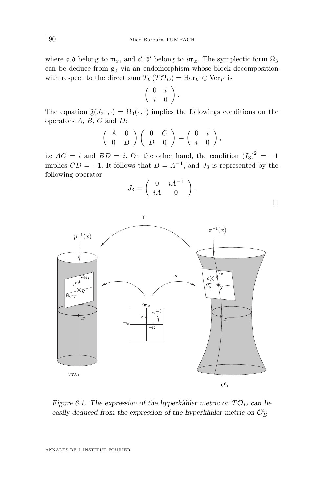where  $\mathfrak{c}, \mathfrak{d}$  belong to  $\mathfrak{m}_x$ , and  $\mathfrak{c}', \mathfrak{d}'$  belong to  $i\mathfrak{m}_x$ . The symplectic form  $\Omega_3$ can be deduce from  $g_0$  via an endomorphism whose block decomposition with respect to the direct sum  $T_V(T\mathcal{O}_D) = \text{Hor}_V \oplus \text{Ver}_V$  is

$$
\left(\begin{array}{cc} 0 & i \\ i & 0 \end{array}\right).
$$

The equation  $\tilde{g}(J_3\cdot,\cdot)=\Omega_3(\cdot,\cdot)$  implies the followings conditions on the operators  $A, B, C$  and  $D$ :

$$
\left(\begin{array}{cc} A & 0 \\ 0 & B \end{array}\right)\left(\begin{array}{cc} 0 & C \\ D & 0 \end{array}\right) = \left(\begin{array}{cc} 0 & i \\ i & 0 \end{array}\right),
$$

i.e  $AC = i$  and  $BD = i$ . On the other hand, the condition  $(I_3)^2 = -1$ implies  $CD = -1$ . It follows that  $B = A^{-1}$ , and  $J_3$  is represented by the following operator



 $\Box$ 



*Figure 6.1. The expression of the hyperkähler metric on*  $T\mathcal{O}_D$  *can be* easily deduced from the expression of the hyperkähler metric on  $\mathcal{O}_D^{\mathbb{C}}$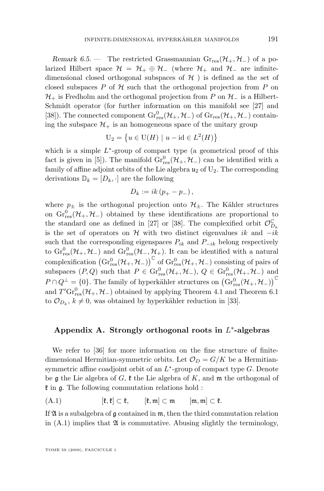*Remark 6.5.* — The restricted Grassmannian  $Gr_{res}(\mathcal{H}_{+}, \mathcal{H}_{-})$  of a polarized Hilbert space  $\mathcal{H} = \mathcal{H}_+ \oplus \mathcal{H}_-$  (where  $\mathcal{H}_+$  and  $\mathcal{H}_-$  are infinitedimensional closed orthogonal subspaces of  $H$ ) is defined as the set of closed subspaces  $P$  of  $H$  such that the orthogonal projection from  $P$  on  $\mathcal{H}_+$  is Fredholm and the orthogonal projection from P on  $\mathcal{H}_-$  is a Hilbert-Schmidt operator (for further information on this manifold see [\[27\]](#page-31-0) and [\[38\]](#page-31-0)). The connected component  $\text{Gr}_{\text{res}}^0(\mathcal{H}_+,\mathcal{H}_-)$  of  $\text{Gr}_{\text{res}}(\mathcal{H}_+,\mathcal{H}_-)$  containing the subspace  $\mathcal{H}_+$  is an homogeneous space of the unitary group

$$
U_2 = \left\{ u \in U(H) \mid u - id \in L^2(H) \right\}
$$

which is a simple  $L^*$ -group of compact type (a geometrical proof of this fact is given in [\[5\]](#page-30-0)). The manifold  $\text{Gr}_{\text{res}}^{0}(\mathcal{H}_{+}, \mathcal{H}_{-})$  can be identified with a family of affine adjoint orbits of the Lie algebra  $u_2$  of  $U_2$ . The corresponding derivations  $\mathbb{D}_k = [D_k, \cdot]$  are the following

$$
D_k := ik\left(p_+ - p_-\right),\,
$$

where  $p_{\pm}$  is the orthogonal projection onto  $\mathcal{H}_{\pm}$ . The Kähler structures on  $\text{Gr}_{\text{res}}^0(\mathcal{H}_+,\mathcal{H}_-)$  obtained by these identifications are proportional to the standard one as defined in [\[27\]](#page-31-0) or [\[38\]](#page-31-0). The complexified orbit  $\mathcal{O}_{D_k}^{\mathbb{C}}$ is the set of operators on H with two distinct eigenvalues ik and  $-ik$ such that the corresponding eigenspaces  $P_{ik}$  and  $P_{-ik}$  belong respectively to  $\text{Gr}_{\text{res}}^0(\mathcal{H}_+,\mathcal{H}_-)$  and  $\text{Gr}_{\text{res}}^0(\mathcal{H}_-,\mathcal{H}_+)$ . It can be identified with a natural complexification  $(\mathrm{Gr}^0_{\mathrm{res}}(\mathcal{H}_+,\mathcal{H}_-))^{\mathbb{C}}$  of  $\mathrm{Gr}^0_{\mathrm{res}}(\mathcal{H}_+,\mathcal{H}_-)$  consisting of pairs of subspaces  $(P,Q)$  such that  $P \in \text{Gr}^0_{\text{res}}(\mathcal{H}_+,\mathcal{H}_-), Q \in \text{Gr}^0_{\text{res}}(\mathcal{H}_+,\mathcal{H}_-)$  and  $P \cap Q^{\perp} = \{0\}$ . The family of hyperkähler structures on  $(\text{Gr}_{\text{res}}^{0}(\mathcal{H}_{+}, \mathcal{H}_{-}))^{\mathbb{C}}$ and  $T' \text{Gr}_{\text{res}}^0(\mathcal{H}_+,\mathcal{H}_-)$  obtained by applying Theorem [4.1](#page-14-0) and Theorem [6.1](#page-19-0) to  $\mathcal{O}_{D_k}$ ,  $k \neq 0$ , was obtained by hyperkähler reduction in [\[33\]](#page-31-0).

#### **Appendix A. Strongly orthogonal roots in** L ∗ **-algebras**

We refer to [\[36\]](#page-31-0) for more information on the fine structure of finitedimensional Hermitian-symmetric orbits. Let  $\mathcal{O}_D = G/K$  be a Hermitiansymmetric affine coadjoint orbit of an  $L^*$ -group of compact type  $G$ . Denote be g the Lie algebra of G,  $\mathfrak k$  the Lie algebra of K, and  $\mathfrak m$  the orthogonal of  $\mathfrak k$  in  $\mathfrak g$ . The following commutation relations hold :

 $(A.1)$   $[\mathfrak{k}, \mathfrak{k}] \subset \mathfrak{k}, \qquad [\mathfrak{k}, \mathfrak{m}] \subset \mathfrak{m} \qquad [\mathfrak{m}, \mathfrak{m}] \subset \mathfrak{k}.$ 

If  $\mathfrak A$  is a subalgebra of  $\mathfrak g$  contained in  $\mathfrak m$ , then the third commutation relation in  $(A.1)$  implies that  $\mathfrak A$  is commutative. Abusing slightly the terminology,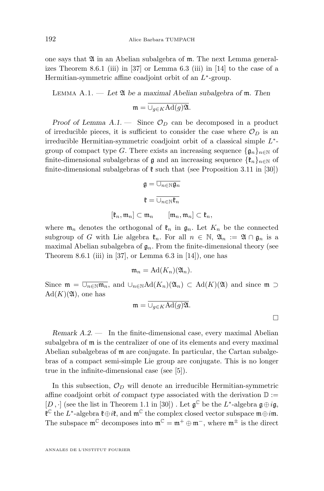one says that  $\mathfrak A$  in an Abelian subalgebra of  $\mathfrak m$ . The next Lemma general-izes Theorem 8.6.1 (iii) in [\[37\]](#page-31-0) or Lemma 6.3 (iii) in [\[14\]](#page-30-0) to the case of a Hermitian-symmetric affine coadjoint orbit of an  $L^*$ -group.

Lemma A.1. — *Let* A *be a maximal Abelian subalgebra of* m*. Then*

$$
\mathfrak{m}=\overline{\cup_{g\in K}\mathrm{Ad}(g)\mathfrak{A}}.
$$

*Proof of Lemma A.1.* — Since  $\mathcal{O}_D$  can be decomposed in a product of irreducible pieces, it is sufficient to consider the case where  $\mathcal{O}_D$  is an irreducible Hermitian-symmetric coadjoint orbit of a classical simple  $L^*$ group of compact type G. There exists an increasing sequence  $\{g_n\}_{n\in\mathbb{N}}$  of finite-dimensional subalgebras of  $\mathfrak g$  and an increasing sequence  $\{\mathfrak k_n\}_{n\in\mathbb N}$  of finite-dimensional subalgebras of  $\ell$  such that (see Proposition 3.11 in [\[30\]](#page-31-0))

$$
\mathfrak{g}=\overline{\cup_{n\in\mathbb{N}}\mathfrak{g}_n}
$$

$$
\mathfrak{k}=\overline{\cup_{n\in\mathbb{N}}\mathfrak{k}_n}
$$

$$
[\mathfrak{k}_n,\mathfrak{m}_n]\subset\mathfrak{m}_n\qquad [\mathfrak{m}_n,\mathfrak{m}_n]\subset\mathfrak{k}_n,
$$

where  $\mathfrak{m}_n$  denotes the orthogonal of  $\mathfrak{k}_n$  in  $\mathfrak{g}_n$ . Let  $K_n$  be the connected subgroup of G with Lie algebra  $\mathfrak{k}_n$ . For all  $n \in \mathbb{N}$ ,  $\mathfrak{A}_n := \mathfrak{A} \cap \mathfrak{g}_n$  is a maximal Abelian subalgebra of  $\mathfrak{g}_n$ . From the finite-dimensional theory (see Theorem 8.6.1 (iii) in [\[37\]](#page-31-0), or Lemma 6.3 in [\[14\]](#page-30-0)), one has

$$
\mathfrak{m}_n = \mathrm{Ad}(K_n)(\mathfrak{A}_n).
$$

Since  $\mathfrak{m} = \overline{\cup_{n\in\mathbb{N}}\mathfrak{m}_n}$ , and  $\cup_{n\in\mathbb{N}}\text{Ad}(K_n)(\mathfrak{A}_n) \subset \text{Ad}(K)(\mathfrak{A})$  and since  $\mathfrak{m} \supset$  $Ad(K)(\mathfrak{A})$ , one has

$$
\mathfrak{m} = \overline{\cup_{g \in K} \mathrm{Ad}(g)\mathfrak{A}}.
$$

*Remark A.2. —* In the finite-dimensional case, every maximal Abelian subalgebra of m is the centralizer of one of its elements and every maximal Abelian subalgebras of m are conjugate. In particular, the Cartan subalgebras of a compact semi-simple Lie group are conjugate. This is no longer true in the infinite-dimensional case (see [\[5\]](#page-30-0)).

In this subsection,  $\mathcal{O}_D$  will denote an irreducible Hermitian-symmetric affine coadjoint orbit *of compact type* associated with the derivation  $D :=$ [D,  $\cdot$ ] (see the list in Theorem 1.1 in [\[30\]](#page-31-0)). Let  $\mathfrak{g}^{\mathbb{C}}$  be the L<sup>\*</sup>-algebra  $\mathfrak{g} \oplus i\mathfrak{g}$ ,  $\mathfrak{k}^{\mathbb{C}}$  the L<sup>\*</sup>-algebra  $\mathfrak{k} \oplus i\mathfrak{k}$ , and  $\mathfrak{m}^{\mathbb{C}}$  the complex closed vector subspace  $\mathfrak{m} \oplus i\mathfrak{m}$ . The subspace  $\mathfrak{m}^{\mathbb{C}}$  decomposes into  $\mathfrak{m}^{\mathbb{C}} = \mathfrak{m}^+ \oplus \mathfrak{m}^-$ , where  $\mathfrak{m}^{\pm}$  is the direct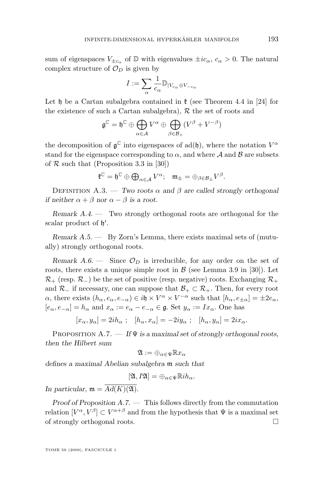<span id="page-27-0"></span>sum of eigenspaces  $V_{\pm c_{\alpha}}$  of D with eigenvalues  $\pm ic_{\alpha}$ ,  $c_{\alpha} > 0$ . The natural complex structure of  $\mathcal{O}_D$  is given by

$$
I := \sum_{\alpha} \frac{1}{c_{\alpha}} \mathbb{D}_{|V_{c_{\alpha}} \oplus V_{-c_{\alpha}}}
$$

Let h be a Cartan subalgebra contained in  $\mathfrak k$  (see Theorem 4.4 in [\[24\]](#page-30-0) for the existence of such a Cartan subalgebra),  $R$  the set of roots and

$$
\mathfrak{g}^{\mathbb{C}} = \mathfrak{h}^{\mathbb{C}} \oplus \bigoplus_{\alpha \in \mathcal{A}} V^{\alpha} \oplus \bigoplus_{\beta \in \mathcal{B}_{+}} (V^{\beta} + V^{-\beta})
$$

the decomposition of  $\mathfrak{g}^{\mathbb{C}}$  into eigenspaces of  $ad(\mathfrak{h})$ , where the notation  $V^{\alpha}$ stand for the eigenspace corresponding to  $\alpha$ , and where  $A$  and  $B$  are subsets of  $R$  such that (Proposition 3.3 in [\[30\]](#page-31-0))

$$
\mathfrak{k}^{\mathbb{C}}=\mathfrak{h}^{\mathbb{C}}\oplus\bigoplus_{\alpha\in\mathcal{A}}V^{\alpha};\quad \mathfrak{m}_{\pm}=\oplus_{\beta\in\mathcal{B}_{\pm}}V^{\beta}.
$$

Definition A.3. — *Two roots* α *and* β *are called strongly orthogonal if neither*  $\alpha + \beta$  *nor*  $\alpha - \beta$  *is a root.* 

*Remark A.4. —* Two strongly orthogonal roots are orthogonal for the scalar product of  $\mathfrak{h}'$ .

*Remark A.5. —* By Zorn's Lemma, there exists maximal sets of (mutually) strongly orthogonal roots.

*Remark A.6.* — Since  $\mathcal{O}_D$  is irreducible, for any order on the set of roots, there exists a unique simple root in  $\beta$  (see Lemma 3.9 in [\[30\]](#page-31-0)). Let  $\mathcal{R}_+$  (resp.  $\mathcal{R}_-$ ) be the set of positive (resp. negative) roots. Exchanging  $\mathcal{R}_+$ and  $\mathcal{R}_-$  if necessary, one can suppose that  $\mathcal{B}_+ \subset \mathcal{R}_+$ . Then, for every root  $\alpha$ , there exists  $(h_{\alpha}, e_{\alpha}, e_{-\alpha}) \in i\mathfrak{h} \times V^{\alpha} \times V^{-\alpha}$  such that  $[h_{\alpha}, e_{\pm \alpha}] = \pm 2e_{\alpha}$ ,  $[e_{\alpha}, e_{-\alpha}] = h_{\alpha}$  and  $x_{\alpha} := e_{\alpha} - e_{-\alpha} \in \mathfrak{g}$ . Set  $y_{\alpha} := I x_{\alpha}$ . One has

$$
[x_{\alpha}, y_{\alpha}] = 2ih_{\alpha} ; \quad [h_{\alpha}, x_{\alpha}] = -2iy_{\alpha} ; \quad [h_{\alpha}, y_{\alpha}] = 2ix_{\alpha}.
$$

Proposition A.7. — *If* Ψ *is a maximal set of strongly orthogonal roots, then the Hilbert sum*

$$
\mathfrak{A}:=\oplus_{\alpha\in\Psi}\mathbb{R} x_\alpha
$$

*defines a maximal Abelian subalgebra* m *such that*

$$
[\mathfrak{A},I\mathfrak{A}]=\oplus_{\alpha\in\Psi}\mathbb{R}ih_{\alpha}.
$$

*In particular,*  $m = \overline{Ad(K)(\mathfrak{A})}$ .

*Proof of Proposition A.7. —* This follows directly from the commutation relation  $[V^{\alpha}, V^{\beta}] \subset V^{\alpha+\beta}$  and from the hypothesis that  $\Psi$  is a maximal set of strongly orthogonal roots.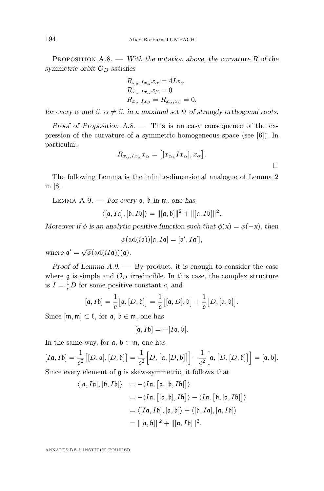<span id="page-28-0"></span>Proposition A.8. — *With the notation above, the curvature* R *of the symmetric orbit*  $\mathcal{O}_D$  *satisfies* 

$$
R_{x_{\alpha},Ix_{\alpha}}x_{\alpha} = 4Ix_{\alpha}
$$
  
\n
$$
R_{x_{\alpha},Ix_{\alpha}}x_{\beta} = 0
$$
  
\n
$$
R_{x_{\alpha},Ix_{\beta}} = R_{x_{\alpha},x_{\beta}} = 0,
$$

*for every*  $\alpha$  *and*  $\beta$ ,  $\alpha \neq \beta$ , *in a maximal set*  $\Psi$  *of strongly orthogonal roots.* 

*Proof of Proposition [A.8.](#page-27-0) —* This is an easy consequence of the expression of the curvature of a symmetric homogeneous space (see [\[6\]](#page-30-0)). In particular,

$$
R_{x_{\alpha},Ix_{\alpha}}x_{\alpha} = [[x_{\alpha},Ix_{\alpha}],x_{\alpha}].
$$

The following Lemma is the infinite-dimensional analogue of Lemma 2 in [\[8\]](#page-30-0).

Lemma A.9. — *For every* a*,* b *in* m*, one has*

 $\langle [a, Ia], [b, Ib] \rangle = ||[a, b]||^2 + ||[a, Ib]||^2.$ 

*Moreover if*  $\phi$  *is an analytic positive function such that*  $\phi(x) = \phi(-x)$ *, then* 

$$
\phi(\mathrm{ad}(i\mathfrak{a}))[\mathfrak{a},I\mathfrak{a}]=[\mathfrak{a}',I\mathfrak{a}'],
$$

where  $\mathfrak{a}' = \sqrt{\phi}(\text{ad}(iI\mathfrak{a}))(\mathfrak{a}).$ 

*Proof of Lemma A.9. —* By product, it is enough to consider the case where  $\mathfrak g$  is simple and  $\mathcal O_D$  irreducible. In this case, the complex structure is  $I = \frac{1}{c}D$  for some positive constant c, and

$$
[\mathfrak{a},I\mathfrak{b}]=\frac{1}{c}[\mathfrak{a},[D,\mathfrak{b}]]=\frac{1}{c}[[\mathfrak{a},D],\mathfrak{b}]+\frac{1}{c}[D,[\mathfrak{a},\mathfrak{b}]].
$$

Since  $[m, m] \subset \mathfrak{k}$ , for  $\mathfrak{a}, \mathfrak{b} \in \mathfrak{m}$ , one has

$$
[\mathfrak{a},I\mathfrak{b}]=-[I\mathfrak{a},\mathfrak{b}].
$$

In the same way, for  $a, b \in \mathfrak{m}$ , one has

 $[I\mathfrak{a}, I\mathfrak{b}] = \frac{1}{c^2} \bigl[[D, \mathfrak{a}], [D, \mathfrak{b}]\bigr] = \frac{1}{c^2}$  $\frac{1}{c^2}\Big[D,\big[\mathfrak{a},[D,\mathfrak{b}]\big]\Big]-\frac{1}{c^2}$  $\frac{1}{c^2}\Big[\mathfrak{a},\big[D,[D,\mathfrak{b}]\big]\Big]=[\mathfrak{a},\mathfrak{b}].$ Since every element of g is skew-symmetric, it follows that

$$
\langle [a, Ia], [b, Ib] \rangle = -\langle Ia, [a, [b, Ib]] \rangle
$$
  
= -\langle Ia, [[a, b], Ib] \rangle - \langle Ia, [b, [a, Ib]] \rangle  
= \langle [Ia, Ib], [a, b] \rangle + \langle [b, Ia], [a, Ib] \rangle  
= ||[a, b]||<sup>2</sup> + ||[a, Ib]]<sup>2</sup>.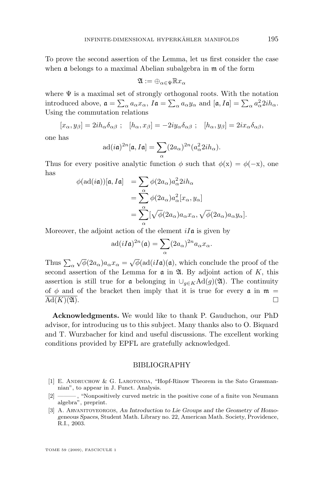<span id="page-29-0"></span>To prove the second assertion of the Lemma, let us first consider the case when a belongs to a maximal Abelian subalgebra in m of the form

$$
\mathfrak{A}:=\oplus_{\alpha\in\Psi}\mathbb{R} x_\alpha
$$

where  $\Psi$  is a maximal set of strongly orthogonal roots. With the notation introduced above,  $\mathfrak{a} = \sum_{\alpha} a_{\alpha} x_{\alpha}$ ,  $I\mathfrak{a} = \sum_{\alpha} a_{\alpha} y_{\alpha}$  and  $[\mathfrak{a}, I\mathfrak{a}] = \sum_{\alpha} a_{\alpha}^2 2ih_{\alpha}$ . Using the commutation relations

$$
[x_{\alpha}, y_{\beta}] = 2ih_{\alpha}\delta_{\alpha\beta} ; \quad [h_{\alpha}, x_{\beta}] = -2iy_{\alpha}\delta_{\alpha\beta} ; \quad [h_{\alpha}, y_{\beta}] = 2ix_{\alpha}\delta_{\alpha\beta},
$$

one has

$$
\mathrm{ad}(i\mathfrak{a})^{2n}[\mathfrak{a},I\mathfrak{a}]=\sum_{\alpha}(2a_{\alpha})^{2n}(a_{\alpha}^2 2ih_{\alpha}).
$$

Thus for every positive analytic function  $\phi$  such that  $\phi(x) = \phi(-x)$ , one has

$$
\begin{aligned}\n\phi(\text{ad}(i\mathfrak{a}))[\mathfrak{a},I\mathfrak{a}] &= \sum_{\alpha} \phi(2a_{\alpha}) a_{\alpha}^2 2ih_{\alpha} \\
&= \sum_{\alpha}^{\alpha} \phi(2a_{\alpha}) a_{\alpha}^2 [x_{\alpha}, y_{\alpha}] \\
&= \sum_{\alpha}^{\alpha} [\sqrt{\phi}(2a_{\alpha}) a_{\alpha} x_{\alpha}, \sqrt{\phi}(2a_{\alpha}) a_{\alpha} y_{\alpha}].\n\end{aligned}
$$

Moreover, the adjoint action of the element  $iI\mathfrak{a}$  is given by

$$
\mathrm{ad}(iI\mathfrak{a})^{2n}(\mathfrak{a})=\sum_{\alpha}(2a_{\alpha})^{2n}a_{\alpha}x_{\alpha}.
$$

Thus  $\sum_{\alpha}$  $\sqrt{\phi}(2a_{\alpha})a_{\alpha}x_{\alpha} = \sqrt{\phi}(\text{ad}(iI\mathfrak{a})(\mathfrak{a}),$  which conclude the proof of the second assertion of the Lemma for  $\alpha$  in  $\mathfrak{A}$ . By adjoint action of K, this assertion is still true for  $\alpha$  belonging in  $\bigcup_{g\in K} \text{Ad}(g)(\mathfrak{A})$ . The continuity of  $\phi$  and of the bracket then imply that it is true for every  $\mathfrak{a}$  in  $\mathfrak{m}$  =  $\mathrm{Ad}(K)(\mathfrak{A})$ .

**Acknowledgments.** We would like to thank P. Gauduchon, our PhD advisor, for introducing us to this subject. Many thanks also to O. Biquard and T. Wurzbacher for kind and useful discussions. The excellent working conditions provided by EPFL are gratefully acknowledged.

#### BIBLIOGRAPHY

- [1] E. Andruchow & G. Larotonda, "Hopf-Rinow Theorem in the Sato Grassmannian", to appear in J. Funct. Analysis.
- [2] ——— , "Nonpositively curved metric in the positive cone of a finite von Neumann algebra", preprint.
- [3] A. Arvanitoyeorgos, *An Introduction to Lie Groups and the Geometry of Homogeneous Spaces*, Student Math. Library no. 22, American Math. Society, Providence, R.I., 2003.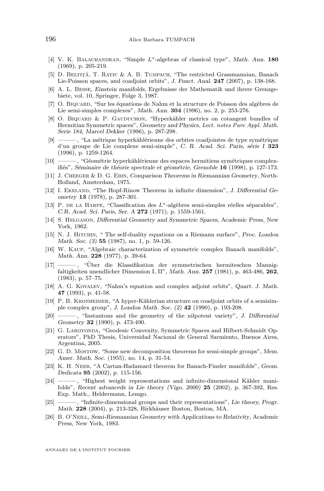- <span id="page-30-0"></span>[4] V. K. Balachandran, "Simple L∗-algebras of classical type", *Math. Ann.* **180** (1969), p. 205-219.
- [5] D. BELTIȚĂ, T. RATIU & A. B. TUMPACH, "The restricted Grassmannian, Banach Lie-Poisson spaces, and coadjoint orbits", *J. Funct. Anal.* **247** (2007), p. 138-168.
- [6] A. L. Besse, *Einstein manifolds*, Ergebnisse der Mathematik und ihrere Grenzgebiete, vol. 10, Springer, Folge 3, 1987.
- [7] O. BIQUARD, "Sur les équations de Nahm et la structure de Poisson des algèbres de Lie semi-simples complexes", *Math. Ann.* **304** (1996), no. 2, p. 253-276.
- [8] O. BIQUARD & P. GAUDUCHON, "Hyperkähler metrics on cotangent bundles of Hermitian Symmetric spaces", *Geometry and Physics, Lect. notes Pure Appl. Math. Serie 184, Marcel Dekker* (1996), p. 287-298.
- [9] ——— , "La métrique hyperkählérienne des orbites coadjointes de type symétrique d'un groupe de Lie complexe semi-simple", *C. R. Acad. Sci. Paris, série I* **323** (1996), p. 1259-1264.
- [10] ——— , "Géométrie hyperkählérienne des espaces hermitiens symétriques complexifiés", *Séminaire de théorie spectrale et géométrie, Grenoble* **16** (1998), p. 127-173.
- [11] J. Cheeger & D. G. Ebin, *Comparison Theorems in Riemannian Geometry*, North-Holland, Amsterdam, 1975.
- [12] I. Ekeland, "The Hopf-Rinow Theorem in infinite dimension", *J. Differential Geometry* **13** (1978), p. 287-301.
- [13] P. de la Harpe, "Classification des L∗-algèbres semi-simples réelles séparables", *C.R. Acad. Sci. Paris, Ser. A* **272** (1971), p. 1559-1561.
- [14] S. Helgason, *Differential Geometry and Symmetric Spaces*, Academic Press, New York, 1962.
- [15] N. J. Hitchin, " The self-duality equations on a Riemann surface", *Proc. London Math. Soc. (3)* **55** (1987), no. 1, p. 59-126.
- [16] W. Kaup, "Algebraic characterization of symmetric complex Banach manifolds", *Math. Ann.* **228** (1977), p. 39-64.
- [17] ——— , "Über die Klassifikation der symmetrischen hermiteschen Mannigfaltigkeiten unendlicher Dimension I, II", *Math. Ann.* **257** (1981), p. 463-486, **262**, (1983), p. 57–75.
- [18] A. G. Kovalev, "Nahm's equation and complex adjoint orbits", *Quart. J. Math.* **47** (1993), p. 41-58.
- [19] P. B. Kronheimer, "A hyper-Kählerian structure on coadjoint orbits of a semisimple complex group", *J. London Math. Soc. (2)* **42** (1990), p. 193-208.
- [20] ——— , "Instantons and the geometry of the nilpotent variety", *J. Differential Geometry* **32** (1990), p. 473-490.
- [21] G. Larotonda, "Geodesic Convexity, Symmetric Spaces and Hilbert-Schmidt Operators", PhD Thesis, Universidad Nacional de General Sarmiento, Buenos Aires, Argentina, 2005.
- [22] G. D. Mostow, "Some new decomposition theorems for semi-simple groups", *Mem. Amer. Math. Soc.* (1955), no. 14, p. 31-54.
- [23] K. H. NEEB, "A Cartan-Hadamard theorem for Banach-Finsler manifolds", *Geom. Dedicata* **95** (2002), p. 115-156.
- [24] ——— , "Highest weight representations and infinite-dimensional Kähler manifolds", *Recent advanceds in Lie theory (Vigo, 2000)* **25** (2002), p. 367-392, Res. Exp. Math., Heldermann, Lemgo.
- [25] ——— , "Infinite-dimensional groups and their representations", *Lie theory, Progr. Math.* **228** (2004), p. 213-328, Birkhäuser Boston, Boston, MA.
- [26] B. O'Neill, *Semi-Riemannian Geometry with Applications to Relativity*, Academic Press, New York, 1983.